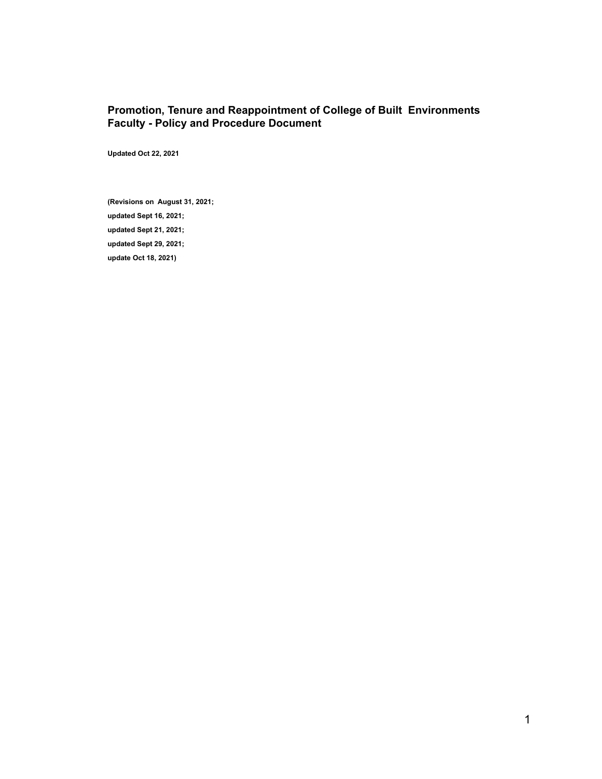### <span id="page-0-0"></span>**Promotion, Tenure and Reappointment of College of Built Environments Faculty - Policy and Procedure Document**

**Updated Oct 22, 2021**

**(Revisions on August 31, 2021; updated Sept 16, 2021; updated Sept 21, 2021; updated Sept 29, 2021; update Oct 18, 2021)**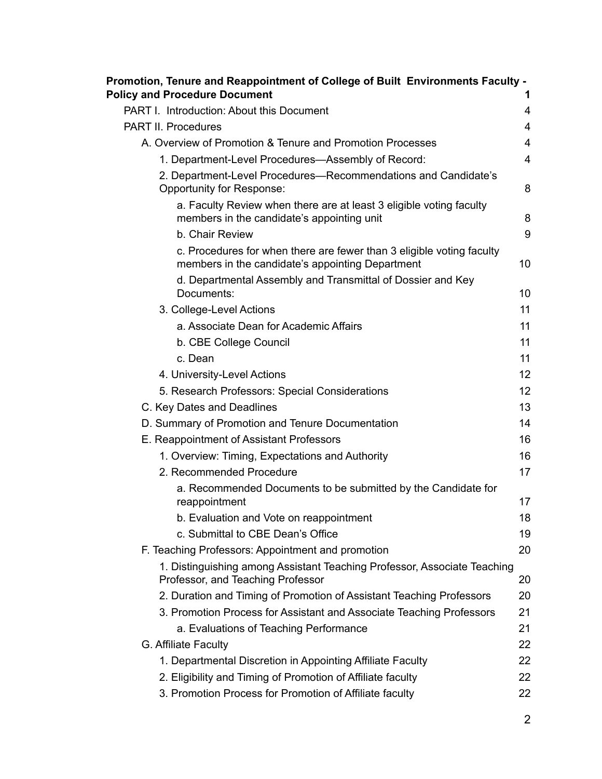| Promotion, Tenure and Reappointment of College of Built Environments Faculty -<br><b>Policy and Procedure Document</b>    |                |
|---------------------------------------------------------------------------------------------------------------------------|----------------|
| PART I. Introduction: About this Document                                                                                 | 4              |
| <b>PART II. Procedures</b>                                                                                                | $\overline{4}$ |
| A. Overview of Promotion & Tenure and Promotion Processes                                                                 | 4              |
| 1. Department-Level Procedures-Assembly of Record:                                                                        | $\overline{4}$ |
| 2. Department-Level Procedures-Recommendations and Candidate's<br>Opportunity for Response:                               | 8              |
| a. Faculty Review when there are at least 3 eligible voting faculty<br>members in the candidate's appointing unit         | 8              |
| b. Chair Review                                                                                                           | 9              |
| c. Procedures for when there are fewer than 3 eligible voting faculty<br>members in the candidate's appointing Department | 10             |
| d. Departmental Assembly and Transmittal of Dossier and Key<br>Documents:                                                 | 10             |
| 3. College-Level Actions                                                                                                  | 11             |
| a. Associate Dean for Academic Affairs                                                                                    | 11             |
| b. CBE College Council                                                                                                    | 11             |
| c. Dean                                                                                                                   | 11             |
| 4. University-Level Actions                                                                                               | 12             |
| 5. Research Professors: Special Considerations                                                                            | 12             |
| C. Key Dates and Deadlines                                                                                                | 13             |
| D. Summary of Promotion and Tenure Documentation                                                                          | 14             |
| E. Reappointment of Assistant Professors                                                                                  | 16             |
| 1. Overview: Timing, Expectations and Authority                                                                           | 16             |
| 2. Recommended Procedure                                                                                                  | 17             |
| a. Recommended Documents to be submitted by the Candidate for<br>reappointment                                            | 17             |
| b. Evaluation and Vote on reappointment                                                                                   | 18             |
| c. Submittal to CBE Dean's Office                                                                                         | 19             |
| F. Teaching Professors: Appointment and promotion                                                                         | 20             |
| 1. Distinguishing among Assistant Teaching Professor, Associate Teaching<br>Professor, and Teaching Professor             | 20             |
| 2. Duration and Timing of Promotion of Assistant Teaching Professors                                                      | 20             |
| 3. Promotion Process for Assistant and Associate Teaching Professors                                                      | 21             |
| a. Evaluations of Teaching Performance                                                                                    | 21             |
| G. Affiliate Faculty                                                                                                      | 22             |
| 1. Departmental Discretion in Appointing Affiliate Faculty                                                                | 22             |
| 2. Eligibility and Timing of Promotion of Affiliate faculty                                                               | 22             |
| 3. Promotion Process for Promotion of Affiliate faculty                                                                   | 22             |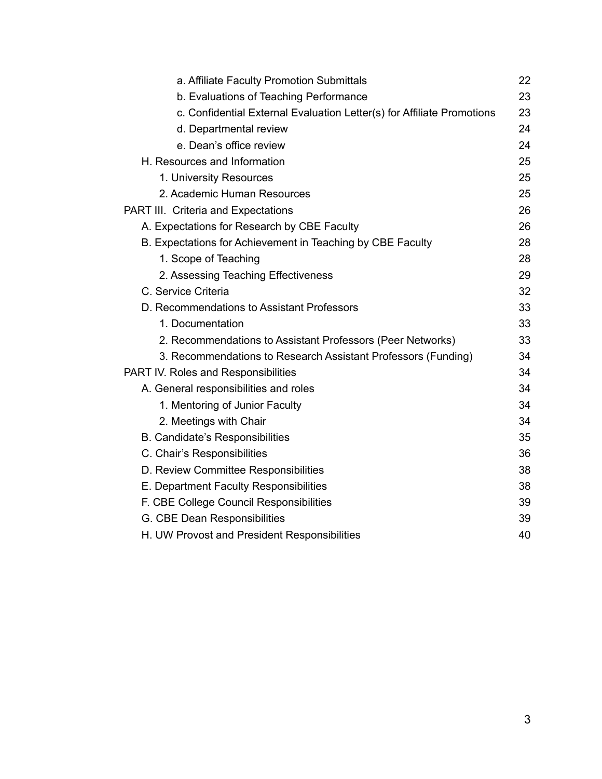| a. Affiliate Faculty Promotion Submittals                              | 22 |
|------------------------------------------------------------------------|----|
| b. Evaluations of Teaching Performance                                 | 23 |
| c. Confidential External Evaluation Letter(s) for Affiliate Promotions | 23 |
| d. Departmental review                                                 | 24 |
| e. Dean's office review                                                | 24 |
| H. Resources and Information                                           | 25 |
| 1. University Resources                                                | 25 |
| 2. Academic Human Resources                                            | 25 |
| PART III. Criteria and Expectations                                    | 26 |
| A. Expectations for Research by CBE Faculty                            | 26 |
| B. Expectations for Achievement in Teaching by CBE Faculty             | 28 |
| 1. Scope of Teaching                                                   | 28 |
| 2. Assessing Teaching Effectiveness                                    | 29 |
| C. Service Criteria                                                    | 32 |
| D. Recommendations to Assistant Professors                             | 33 |
| 1. Documentation                                                       | 33 |
| 2. Recommendations to Assistant Professors (Peer Networks)             | 33 |
| 3. Recommendations to Research Assistant Professors (Funding)          | 34 |
| PART IV. Roles and Responsibilities                                    | 34 |
| A. General responsibilities and roles                                  | 34 |
| 1. Mentoring of Junior Faculty                                         | 34 |
| 2. Meetings with Chair                                                 | 34 |
| <b>B. Candidate's Responsibilities</b>                                 | 35 |
| C. Chair's Responsibilities                                            | 36 |
| D. Review Committee Responsibilities                                   | 38 |
| E. Department Faculty Responsibilities                                 | 38 |
| F. CBE College Council Responsibilities                                | 39 |
| G. CBE Dean Responsibilities                                           | 39 |
| H. UW Provost and President Responsibilities                           | 40 |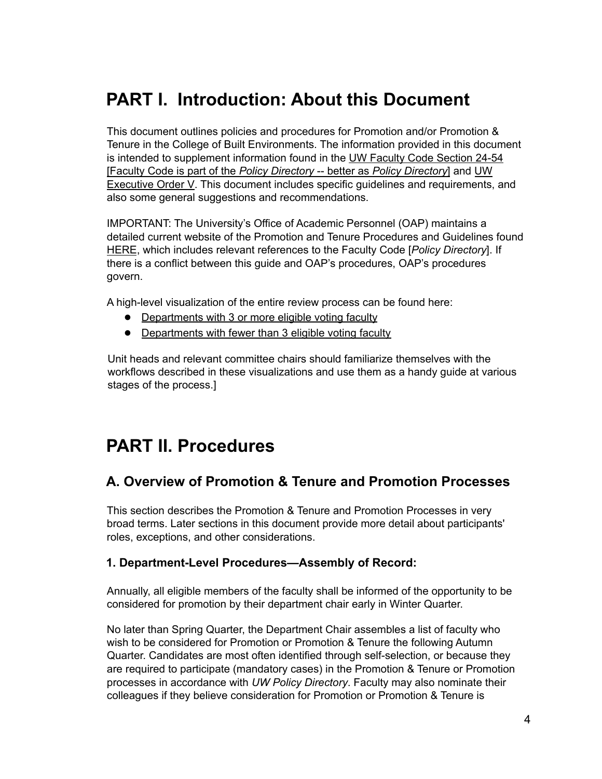# <span id="page-3-0"></span>**PART I. Introduction: About this Document**

This document outlines policies and procedures for Promotion and/or Promotion & Tenure in the College of Built Environments. The information provided in this document is intended to supplement information found in the UW Faculty Code [Section](http://www.washington.edu/admin/rules/policies/FCG/FCCH24.html) 24-54 [Faculty Code is part of the *Policy Directory* -- better as *Policy Directory*] and [UW](http://www.washington.edu/admin/rules/policies/FCG/FCCH24.html) [Executive](http://www.washington.edu/admin/rules/policies/FCG/FCCH24.html) Order V. This document includes specific guidelines and requirements, and also some general suggestions and recommendations.

IMPORTANT: The University's Office of Academic Personnel (OAP) maintains a detailed current website of the Promotion and Tenure Procedures and Guidelines found [HERE](https://ap.washington.edu/ahr/actions/promotions-tenure/), which includes relevant references to the Faculty Code [*Policy Directory*]. If there is a conflict between this guide and OAP's procedures, OAP's procedures govern.

A high-level visualization of the entire review process can be found here:

- [Departments](https://ap.washington.edu/wp-content/uploads/Departmentalized-with-3_final_March2021.pdf) with 3 or more eligible voting faculty
- Departments with fewer than 3 [eligible](https://ap.washington.edu/wp-content/uploads/Departmentalized-with-fewer-than-3_final_March2021.pdf) voting faculty

Unit heads and relevant committee chairs should familiarize themselves with the workflows described in these visualizations and use them as a handy guide at various stages of the process.]

# <span id="page-3-1"></span>**PART II. Procedures**

## <span id="page-3-2"></span>**A. Overview of Promotion & Tenure and Promotion Processes**

This section describes the Promotion & Tenure and Promotion Processes in very broad terms. Later sections in this document provide more detail about participants' roles, exceptions, and other considerations.

#### <span id="page-3-3"></span>**1. Department-Level Procedures—Assembly of Record:**

Annually, all eligible members of the faculty shall be informed of the opportunity to be considered for promotion by their department chair early in Winter Quarter.

No later than Spring Quarter, the Department Chair assembles a list of faculty who wish to be considered for Promotion or Promotion & Tenure the following Autumn Quarter. Candidates are most often identified through self-selection, or because they are required to participate (mandatory cases) in the Promotion & Tenure or Promotion processes in accordance with *UW Policy Directory*. Faculty may also nominate their colleagues if they believe consideration for Promotion or Promotion & Tenure is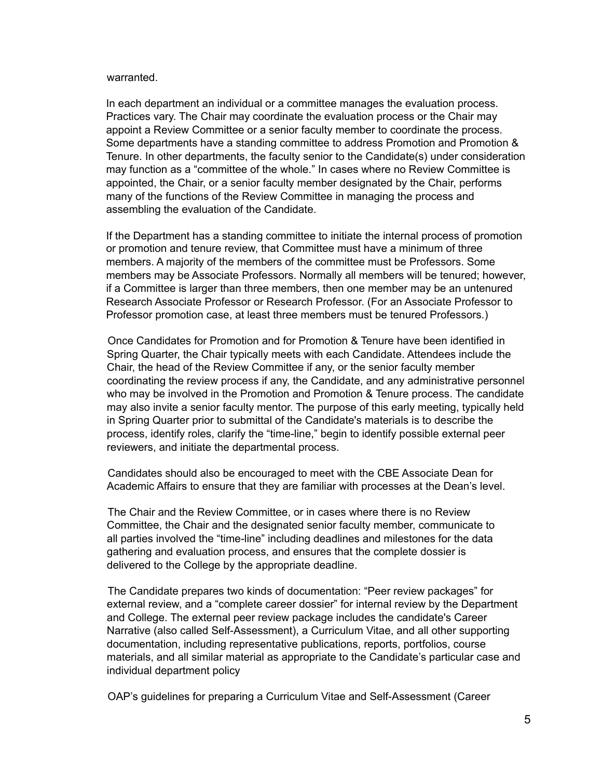#### warranted.

In each department an individual or a committee manages the evaluation process. Practices vary. The Chair may coordinate the evaluation process or the Chair may appoint a Review Committee or a senior faculty member to coordinate the process. Some departments have a standing committee to address Promotion and Promotion & Tenure. In other departments, the faculty senior to the Candidate(s) under consideration may function as a "committee of the whole." In cases where no Review Committee is appointed, the Chair, or a senior faculty member designated by the Chair, performs many of the functions of the Review Committee in managing the process and assembling the evaluation of the Candidate.

If the Department has a standing committee to initiate the internal process of promotion or promotion and tenure review, that Committee must have a minimum of three members. A majority of the members of the committee must be Professors. Some members may be Associate Professors. Normally all members will be tenured; however, if a Committee is larger than three members, then one member may be an untenured Research Associate Professor or Research Professor. (For an Associate Professor to Professor promotion case, at least three members must be tenured Professors.)

Once Candidates for Promotion and for Promotion & Tenure have been identified in Spring Quarter, the Chair typically meets with each Candidate. Attendees include the Chair, the head of the Review Committee if any, or the senior faculty member coordinating the review process if any, the Candidate, and any administrative personnel who may be involved in the Promotion and Promotion & Tenure process. The candidate may also invite a senior faculty mentor. The purpose of this early meeting, typically held in Spring Quarter prior to submittal of the Candidate's materials is to describe the process, identify roles, clarify the "time-line," begin to identify possible external peer reviewers, and initiate the departmental process.

Candidates should also be encouraged to meet with the CBE Associate Dean for Academic Affairs to ensure that they are familiar with processes at the Dean's level.

The Chair and the Review Committee, or in cases where there is no Review Committee, the Chair and the designated senior faculty member, communicate to all parties involved the "time-line" including deadlines and milestones for the data gathering and evaluation process, and ensures that the complete dossier is delivered to the College by the appropriate deadline.

The Candidate prepares two kinds of documentation: "Peer review packages" for external review, and a "complete career dossier" for internal review by the Department and College. The external peer review package includes the candidate's Career Narrative (also called Self-Assessment), a Curriculum Vitae, and all other supporting documentation, including representative publications, reports, portfolios, course materials, and all similar material as appropriate to the Candidate's particular case and individual department policy

OAP's guidelines for preparing a Curriculum Vitae and Self-Assessment (Career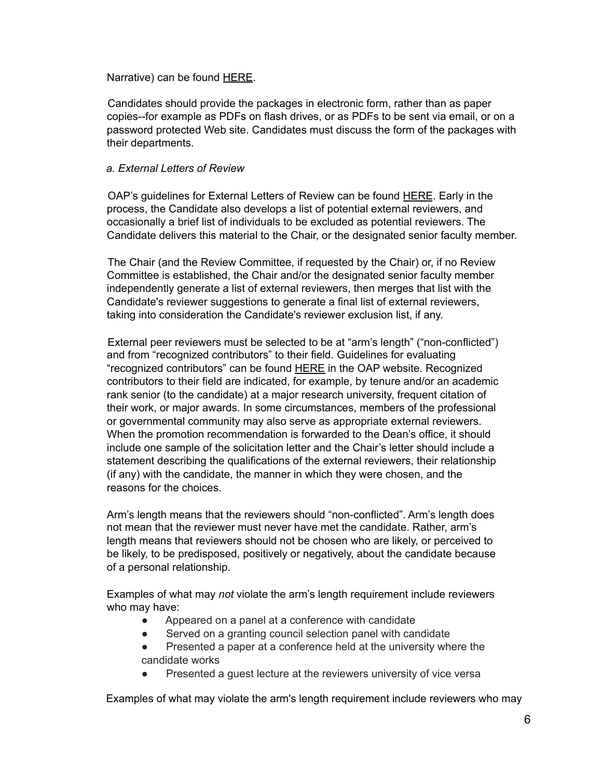Narrative) can be found [HERE](http://ap.washington.edu/ahr/actions/promotions-tenure/assembly-of-record/).

Candidates should provide the packages in electronic form, rather than as paper copies--for example as PDFs on flash drives, or as PDFs to be sent via email, or on a password protected Web site. Candidates must discuss the form of the packages with their departments.

#### *a. External Letters of Review*

OAP's guidelines for External Letters of Review can be found [HERE](http://ap.washington.edu/ahr/actions/promotions-tenure/assembly-of-record/). Early in the process, the Candidate also develops a list of potential external reviewers, and occasionally a brief list of individuals to be excluded as potential reviewers. The Candidate delivers this material to the Chair, or the designated senior faculty member.

The Chair (and the Review Committee, if requested by the Chair) or, if no Review Committee is established, the Chair and/or the designated senior faculty member independently generate a list of external reviewers, then merges that list with the Candidate's reviewer suggestions to generate a final list of external reviewers, taking into consideration the Candidate's reviewer exclusion list, if any.

External peer reviewers must be selected to be at "arm's length" ("non-conflicted") and from "recognized contributors" to their field. Guidelines for evaluating "recognized contributors" can be found [HERE](https://ap.washington.edu/ahr/actions/promotions-tenure/assembly-of-record/) in the OAP website. Recognized contributors to their field are indicated, for example, by tenure and/or an academic rank senior (to the candidate) at a major research university, frequent citation of their work, or major awards. In some circumstances, members of the professional or governmental community may also serve as appropriate external reviewers. When the promotion recommendation is forwarded to the Dean's office, it should include one sample of the solicitation letter and the Chair's letter should include a statement describing the qualifications of the external reviewers, their relationship (if any) with the candidate, the manner in which they were chosen, and the reasons for the choices.

Arm's length means that the reviewers should "non-conflicted". Arm's length does not mean that the reviewer must never have met the candidate. Rather, arm's length means that reviewers should not be chosen who are likely, or perceived to be likely, to be predisposed, positively or negatively, about the candidate because of a personal relationship.

Examples of what may *not* violate the arm's length requirement include reviewers who may have:

- Appeared on a panel at a conference with candidate
- Served on a granting council selection panel with candidate
- Presented a paper at a conference held at the university where the candidate works
- Presented a guest lecture at the reviewers university of vice versa

Examples of what may violate the arm's length requirement include reviewers who may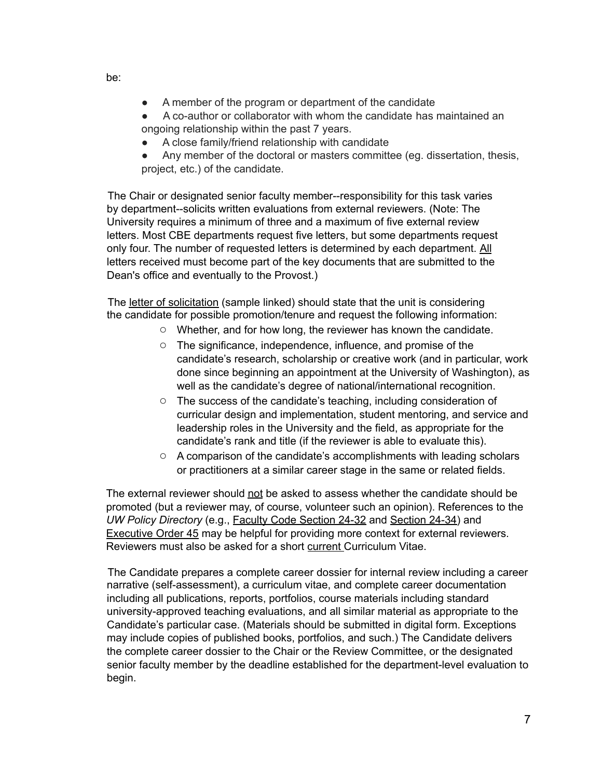- A member of the program or department of the candidate
- A co-author or collaborator with whom the candidate has maintained an ongoing relationship within the past 7 years.
	- A close family/friend relationship with candidate
- Any member of the doctoral or masters committee (eg. dissertation, thesis, project, etc.) of the candidate.

The Chair or designated senior faculty member--responsibility for this task varies by department--solicits written evaluations from external reviewers. (Note: The University requires a minimum of three and a maximum of five external review letters. Most CBE departments request five letters, but some departments request only four. The number of requested letters is determined by each department. All letters received must become part of the key documents that are submitted to the Dean's office and eventually to the Provost.)

The letter of [solicitation](https://ap.washington.edu/ahr/actions/promotions-tenure/chairs-letter-of-solicitation/) (sample linked) should state that the unit is considering the candidate for possible promotion/tenure and request the following information:

- Whether, and for how long, the reviewer has known the candidate.
- The significance, independence, influence, and promise of the candidate's research, scholarship or creative work (and in particular, work done since beginning an appointment at the University of Washington), as well as the candidate's degree of national/international recognition.
- The success of the candidate's teaching, including consideration of curricular design and implementation, student mentoring, and service and leadership roles in the University and the field, as appropriate for the candidate's rank and title (if the reviewer is able to evaluate this).
- A comparison of the candidate's accomplishments with leading scholars or practitioners at a similar career stage in the same or related fields.

The external reviewer should not be asked to assess whether the candidate should be promoted (but a reviewer may, of course, volunteer such an opinion). References to the *UW Policy Directory* (e.g., Faculty Code [Section](https://www.washington.edu/admin/rules/policies/FCG/FCCH24.html#2432) 24-32 and [Section](https://www.washington.edu/admin/rules/policies/FCG/FCCH24.html#2434) 24-34) and **[Executive](https://www.washington.edu/admin/rules/policies/PO/EO45.html) Order 45 may be helpful for providing more context for external reviewers.** Reviewers must also be asked for a short current Curriculum Vitae.

The Candidate prepares a complete career dossier for internal review including a career narrative (self-assessment), a curriculum vitae, and complete career documentation including all publications, reports, portfolios, course materials including standard university-approved teaching evaluations, and all similar material as appropriate to the Candidate's particular case. (Materials should be submitted in digital form. Exceptions may include copies of published books, portfolios, and such.) The Candidate delivers the complete career dossier to the Chair or the Review Committee, or the designated senior faculty member by the deadline established for the department-level evaluation to begin.

be: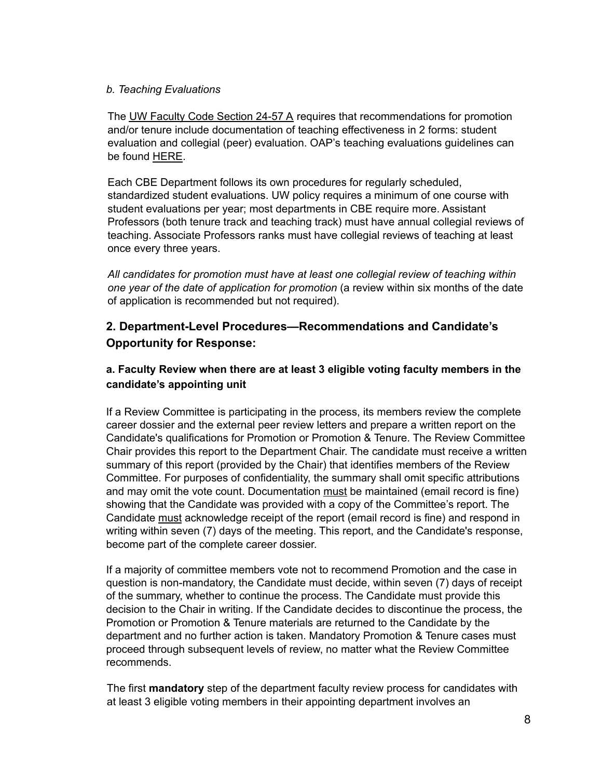#### *b. Teaching Evaluations*

The UW Faculty Code [Section](http://www.washington.edu/admin/rules/policies/FCG/FCCH24.html#2457) 24-57 A requires that recommendations for promotion and/or tenure include documentation of teaching effectiveness in 2 forms: student evaluation and collegial (peer) evaluation. OAP's teaching evaluations guidelines can be found [HERE.](http://ap.washington.edu/ahr/actions/promotions-tenure/assembly-of-record/)

Each CBE Department follows its own procedures for regularly scheduled, standardized student evaluations. UW policy requires a minimum of one course with student evaluations per year; most departments in CBE require more. Assistant Professors (both tenure track and teaching track) must have annual collegial reviews of teaching. Associate Professors ranks must have collegial reviews of teaching at least once every three years.

*All candidates for promotion must have at least one collegial review of teaching within one year of the date of application for promotion* (a review within six months of the date of application is recommended but not required).

### <span id="page-7-0"></span>**2. Department-Level Procedures—Recommendations and Candidate's Opportunity for Response:**

### <span id="page-7-1"></span>**a. Faculty Review when there are at least 3 eligible voting faculty members in the candidate's appointing unit**

If a Review Committee is participating in the process, its members review the complete career dossier and the external peer review letters and prepare a written report on the Candidate's qualifications for Promotion or Promotion & Tenure. The Review Committee Chair provides this report to the Department Chair. The candidate must receive a written summary of this report (provided by the Chair) that identifies members of the Review Committee. For purposes of confidentiality, the summary shall omit specific attributions and may omit the vote count. Documentation must be maintained (email record is fine) showing that the Candidate was provided with a copy of the Committee's report. The Candidate must acknowledge receipt of the report (email record is fine) and respond in writing within seven (7) days of the meeting. This report, and the Candidate's response, become part of the complete career dossier.

If a majority of committee members vote not to recommend Promotion and the case in question is non-mandatory, the Candidate must decide, within seven (7) days of receipt of the summary, whether to continue the process. The Candidate must provide this decision to the Chair in writing. If the Candidate decides to discontinue the process, the Promotion or Promotion & Tenure materials are returned to the Candidate by the department and no further action is taken. Mandatory Promotion & Tenure cases must proceed through subsequent levels of review, no matter what the Review Committee recommends.

The first **mandatory** step of the department faculty review process for candidates with at least 3 eligible voting members in their appointing department involves an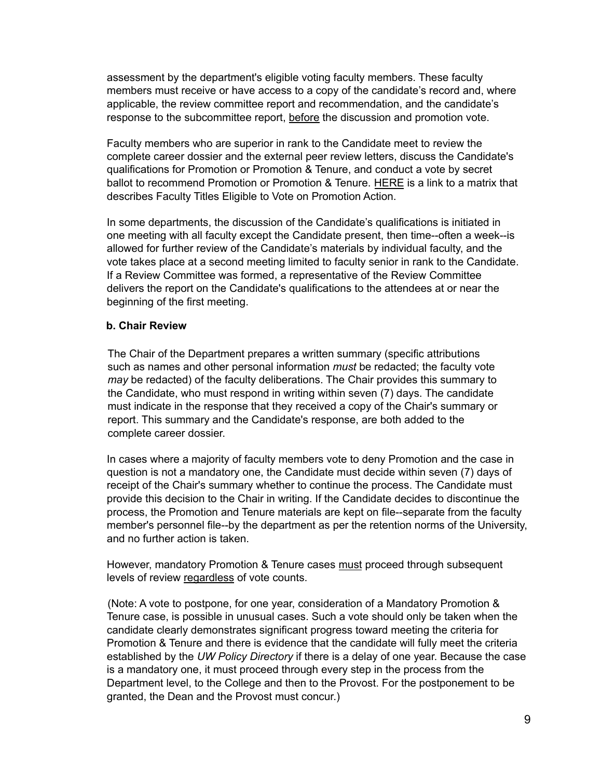assessment by the department's eligible voting faculty members. These faculty members must receive or have access to a copy of the candidate's record and, where applicable, the review committee report and recommendation, and the candidate's response to the subcommittee report, before the discussion and promotion vote.

Faculty members who are superior in rank to the Candidate meet to review the complete career dossier and the external peer review letters, discuss the Candidate's qualifications for Promotion or Promotion & Tenure, and conduct a vote by secret ballot to recommend Promotion or Promotion & Tenure. [HERE](https://ap.washington.edu/ahr/actions/promotions-tenure/promotion-and-tenure-voting-matrix/) is a link to a matrix that describes Faculty Titles Eligible to Vote on Promotion Action.

In some departments, the discussion of the Candidate's qualifications is initiated in one meeting with all faculty except the Candidate present, then time--often a week--is allowed for further review of the Candidate's materials by individual faculty, and the vote takes place at a second meeting limited to faculty senior in rank to the Candidate. If a Review Committee was formed, a representative of the Review Committee delivers the report on the Candidate's qualifications to the attendees at or near the beginning of the first meeting.

#### <span id="page-8-0"></span>**b. Chair Review**

The Chair of the Department prepares a written summary (specific attributions such as names and other personal information *must* be redacted; the faculty vote *may* be redacted) of the faculty deliberations. The Chair provides this summary to the Candidate, who must respond in writing within seven (7) days. The candidate must indicate in the response that they received a copy of the Chair's summary or report. This summary and the Candidate's response, are both added to the complete career dossier.

In cases where a majority of faculty members vote to deny Promotion and the case in question is not a mandatory one, the Candidate must decide within seven (7) days of receipt of the Chair's summary whether to continue the process. The Candidate must provide this decision to the Chair in writing. If the Candidate decides to discontinue the process, the Promotion and Tenure materials are kept on file--separate from the faculty member's personnel file--by the department as per the retention norms of the University, and no further action is taken.

However, mandatory Promotion & Tenure cases must proceed through subsequent levels of review regardless of vote counts.

(Note: A vote to postpone, for one year, consideration of a Mandatory Promotion & Tenure case, is possible in unusual cases. Such a vote should only be taken when the candidate clearly demonstrates significant progress toward meeting the criteria for Promotion & Tenure and there is evidence that the candidate will fully meet the criteria established by the *UW Policy Directory* if there is a delay of one year. Because the case is a mandatory one, it must proceed through every step in the process from the Department level, to the College and then to the Provost. For the postponement to be granted, the Dean and the Provost must concur.)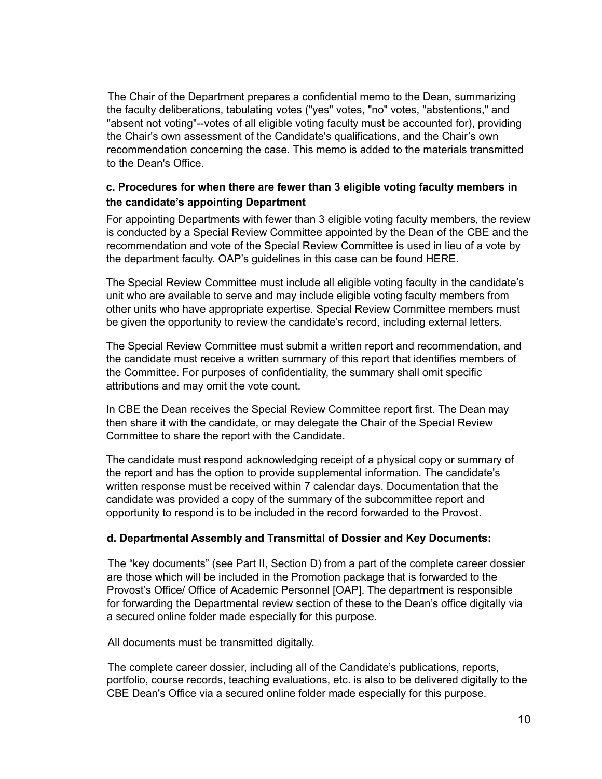The Chair of the Department prepares a confidential memo to the Dean, summarizing the faculty deliberations, tabulating votes ("yes" votes, "no" votes, "abstentions," and "absent not voting"--votes of all eligible voting faculty must be accounted for), providing the Chair's own assessment of the Candidate's qualifications, and the Chair's own recommendation concerning the case. This memo is added to the materials transmitted to the Dean's Office.

### <span id="page-9-0"></span>**c. Procedures for when there are fewer than 3 eligible voting faculty members in the candidate's appointing Department**

For appointing Departments with fewer than 3 eligible voting faculty members, the review is conducted by a Special Review Committee appointed by the Dean of the CBE and the recommendation and vote of the Special Review Committee is used in lieu of a vote by the department faculty. OAP's guidelines in this case can be found [HERE.](http://ap.washington.edu/ahr/actions/promotions-tenure/part-2-recommendations-and-candidates-opportunity-for-response/)

The Special Review Committee must include all eligible voting faculty in the candidate's unit who are available to serve and may include eligible voting faculty members from other units who have appropriate expertise. Special Review Committee members must be given the opportunity to review the candidate's record, including external letters.

The Special Review Committee must submit a written report and recommendation, and the candidate must receive a written summary of this report that identifies members of the Committee. For purposes of confidentiality, the summary shall omit specific attributions and may omit the vote count.

In CBE the Dean receives the Special Review Committee report first. The Dean may then share it with the candidate, or may delegate the Chair of the Special Review Committee to share the report with the Candidate.

The candidate must respond acknowledging receipt of a physical copy or summary of the report and has the option to provide supplemental information. The candidate's written response must be received within 7 calendar days. Documentation that the candidate was provided a copy of the summary of the subcommittee report and opportunity to respond is to be included in the record forwarded to the Provost.

#### <span id="page-9-1"></span>**d. Departmental Assembly and Transmittal of Dossier and Key Documents:**

The "key documents" (see Part II, Section D) from a part of the complete career dossier are those which will be included in the Promotion package that is forwarded to the Provost's Office/ Office of Academic Personnel [OAP]. The department is responsible for forwarding the Departmental review section of these to the Dean's office digitally via a secured online folder made especially for this purpose.

All documents must be transmitted digitally.

The complete career dossier, including all of the Candidate's publications, reports, portfolio, course records, teaching evaluations, etc. is also to be delivered digitally to the CBE Dean's Office via a secured online folder made especially for this purpose.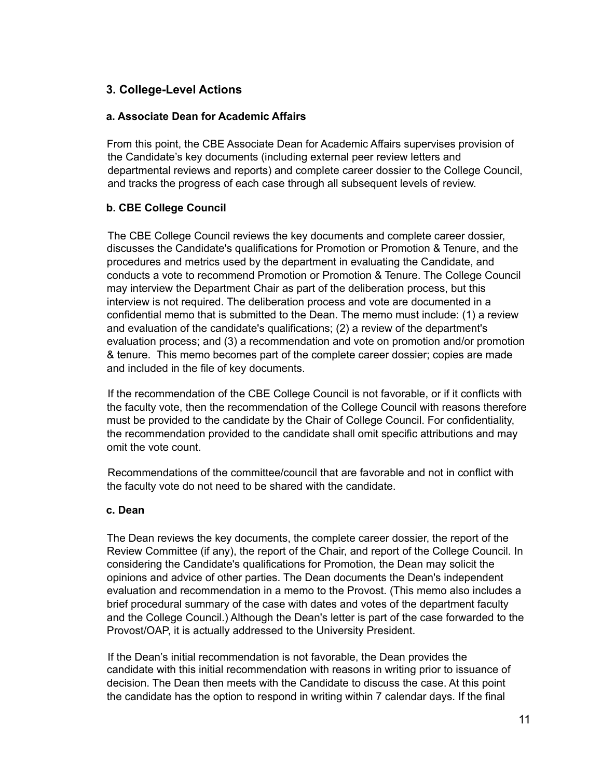### <span id="page-10-0"></span>**3. College-Level Actions**

#### <span id="page-10-1"></span>**a. Associate Dean for Academic Affairs**

From this point, the CBE Associate Dean for Academic Affairs supervises provision of the Candidate's key documents (including external peer review letters and departmental reviews and reports) and complete career dossier to the College Council, and tracks the progress of each case through all subsequent levels of review.

#### <span id="page-10-2"></span>**b. CBE College Council**

The CBE College Council reviews the key documents and complete career dossier, discusses the Candidate's qualifications for Promotion or Promotion & Tenure, and the procedures and metrics used by the department in evaluating the Candidate, and conducts a vote to recommend Promotion or Promotion & Tenure. The College Council may interview the Department Chair as part of the deliberation process, but this interview is not required. The deliberation process and vote are documented in a confidential memo that is submitted to the Dean. The memo must include: (1) a review and evaluation of the candidate's qualifications; (2) a review of the department's evaluation process; and (3) a recommendation and vote on promotion and/or promotion & tenure. This memo becomes part of the complete career dossier; copies are made and included in the file of key documents.

If the recommendation of the CBE College Council is not favorable, or if it conflicts with the faculty vote, then the recommendation of the College Council with reasons therefore must be provided to the candidate by the Chair of College Council. For confidentiality, the recommendation provided to the candidate shall omit specific attributions and may omit the vote count.

Recommendations of the committee/council that are favorable and not in conflict with the faculty vote do not need to be shared with the candidate.

#### <span id="page-10-3"></span>**c. Dean**

The Dean reviews the key documents, the complete career dossier, the report of the Review Committee (if any), the report of the Chair, and report of the College Council. In considering the Candidate's qualifications for Promotion, the Dean may solicit the opinions and advice of other parties. The Dean documents the Dean's independent evaluation and recommendation in a memo to the Provost. (This memo also includes a brief procedural summary of the case with dates and votes of the department faculty and the College Council.) Although the Dean's letter is part of the case forwarded to the Provost/OAP, it is actually addressed to the University President.

If the Dean's initial recommendation is not favorable, the Dean provides the candidate with this initial recommendation with reasons in writing prior to issuance of decision. The Dean then meets with the Candidate to discuss the case. At this point the candidate has the option to respond in writing within 7 calendar days. If the final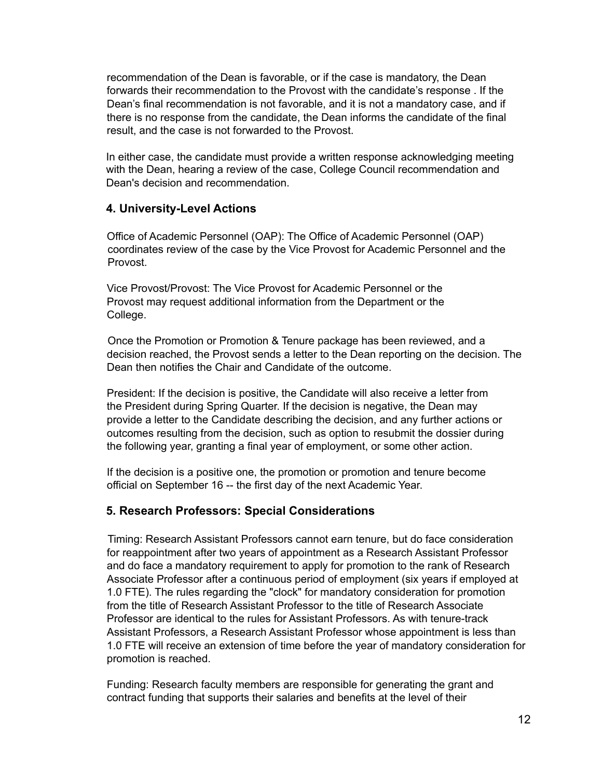recommendation of the Dean is favorable, or if the case is mandatory, the Dean forwards their recommendation to the Provost with the candidate's response . If the Dean's final recommendation is not favorable, and it is not a mandatory case, and if there is no response from the candidate, the Dean informs the candidate of the final result, and the case is not forwarded to the Provost.

In either case, the candidate must provide a written response acknowledging meeting with the Dean, hearing a review of the case, College Council recommendation and Dean's decision and recommendation.

### <span id="page-11-0"></span>**4. University-Level Actions**

Office of Academic Personnel (OAP): The Office of Academic Personnel (OAP) coordinates review of the case by the Vice Provost for Academic Personnel and the Provost.

Vice Provost/Provost: The Vice Provost for Academic Personnel or the Provost may request additional information from the Department or the College.

Once the Promotion or Promotion & Tenure package has been reviewed, and a decision reached, the Provost sends a letter to the Dean reporting on the decision. The Dean then notifies the Chair and Candidate of the outcome.

President: If the decision is positive, the Candidate will also receive a letter from the President during Spring Quarter. If the decision is negative, the Dean may provide a letter to the Candidate describing the decision, and any further actions or outcomes resulting from the decision, such as option to resubmit the dossier during the following year, granting a final year of employment, or some other action.

If the decision is a positive one, the promotion or promotion and tenure become official on September 16 -- the first day of the next Academic Year.

### <span id="page-11-1"></span>**5. Research Professors: Special Considerations**

Timing: Research Assistant Professors cannot earn tenure, but do face consideration for reappointment after two years of appointment as a Research Assistant Professor and do face a mandatory requirement to apply for promotion to the rank of Research Associate Professor after a continuous period of employment (six years if employed at 1.0 FTE). The rules regarding the "clock" for mandatory consideration for promotion from the title of Research Assistant Professor to the title of Research Associate Professor are identical to the rules for Assistant Professors. As with tenure-track Assistant Professors, a Research Assistant Professor whose appointment is less than 1.0 FTE will receive an extension of time before the year of mandatory consideration for promotion is reached.

Funding: Research faculty members are responsible for generating the grant and contract funding that supports their salaries and benefits at the level of their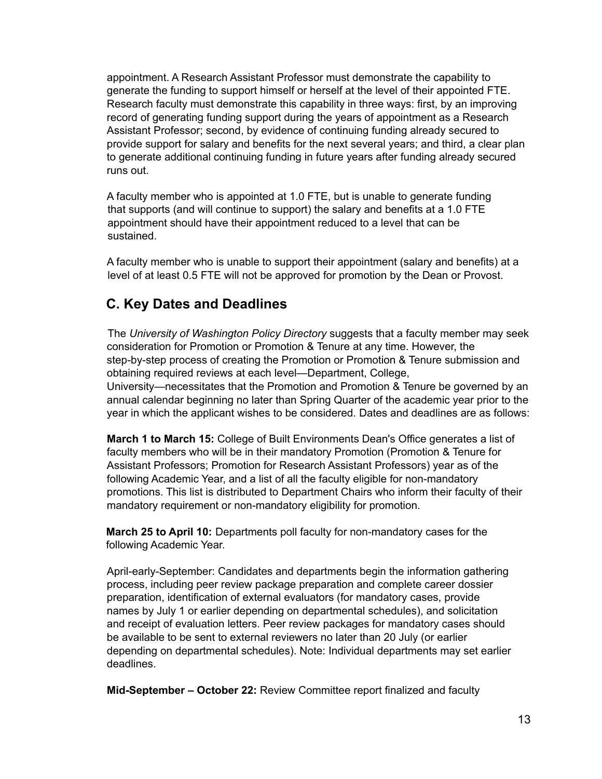appointment. A Research Assistant Professor must demonstrate the capability to generate the funding to support himself or herself at the level of their appointed FTE. Research faculty must demonstrate this capability in three ways: first, by an improving record of generating funding support during the years of appointment as a Research Assistant Professor; second, by evidence of continuing funding already secured to provide support for salary and benefits for the next several years; and third, a clear plan to generate additional continuing funding in future years after funding already secured runs out.

A faculty member who is appointed at 1.0 FTE, but is unable to generate funding that supports (and will continue to support) the salary and benefits at a 1.0 FTE appointment should have their appointment reduced to a level that can be sustained.

A faculty member who is unable to support their appointment (salary and benefits) at a level of at least 0.5 FTE will not be approved for promotion by the Dean or Provost.

## <span id="page-12-0"></span>**C. Key Dates and Deadlines**

The *University of Washington Policy Directory* suggests that a faculty member may seek consideration for Promotion or Promotion & Tenure at any time. However, the step-by-step process of creating the Promotion or Promotion & Tenure submission and obtaining required reviews at each level—Department, College,

University—necessitates that the Promotion and Promotion & Tenure be governed by an annual calendar beginning no later than Spring Quarter of the academic year prior to the year in which the applicant wishes to be considered. Dates and deadlines are as follows:

**March 1 to March 15:** College of Built Environments Dean's Office generates a list of faculty members who will be in their mandatory Promotion (Promotion & Tenure for Assistant Professors; Promotion for Research Assistant Professors) year as of the following Academic Year, and a list of all the faculty eligible for non-mandatory promotions. This list is distributed to Department Chairs who inform their faculty of their mandatory requirement or non-mandatory eligibility for promotion.

**March 25 to April 10:** Departments poll faculty for non-mandatory cases for the following Academic Year.

April-early-September: Candidates and departments begin the information gathering process, including peer review package preparation and complete career dossier preparation, identification of external evaluators (for mandatory cases, provide names by July 1 or earlier depending on departmental schedules), and solicitation and receipt of evaluation letters. Peer review packages for mandatory cases should be available to be sent to external reviewers no later than 20 July (or earlier depending on departmental schedules). Note: Individual departments may set earlier deadlines.

**Mid-September – October 22:** Review Committee report finalized and faculty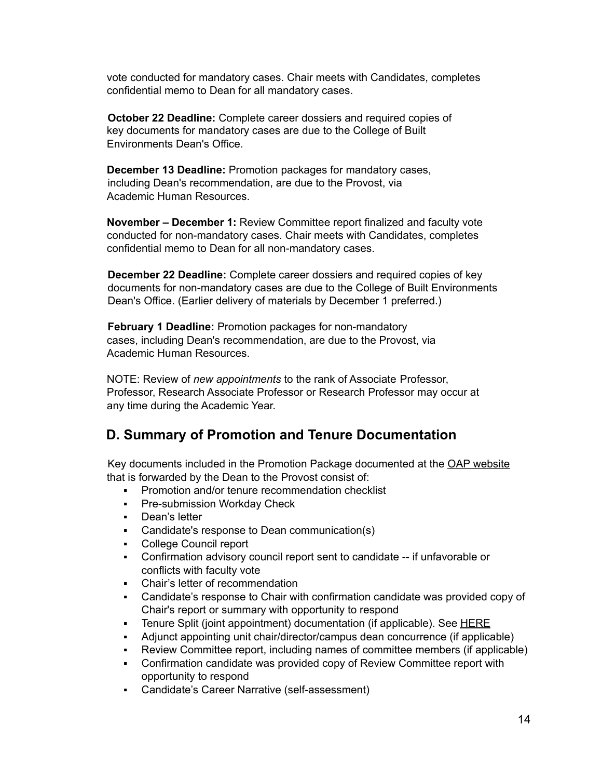vote conducted for mandatory cases. Chair meets with Candidates, completes confidential memo to Dean for all mandatory cases.

**October 22 Deadline:** Complete career dossiers and required copies of key documents for mandatory cases are due to the College of Built Environments Dean's Office.

**December 13 Deadline:** Promotion packages for mandatory cases, including Dean's recommendation, are due to the Provost, via Academic Human Resources.

**November – December 1:** Review Committee report finalized and faculty vote conducted for non-mandatory cases. Chair meets with Candidates, completes confidential memo to Dean for all non-mandatory cases.

**December 22 Deadline:** Complete career dossiers and required copies of key documents for non-mandatory cases are due to the College of Built Environments Dean's Office. (Earlier delivery of materials by December 1 preferred.)

**February 1 Deadline:** Promotion packages for non-mandatory cases, including Dean's recommendation, are due to the Provost, via Academic Human Resources.

NOTE: Review of *new appointments* to the rank of Associate Professor, Professor, Research Associate Professor or Research Professor may occur at any time during the Academic Year.

## <span id="page-13-0"></span>**D. Summary of Promotion and Tenure Documentation**

Key documents included in the Promotion Package documented at the OAP [website](https://ap.washington.edu/wp-content/uploads/Promotion_Tenure_Checklist.pdf) that is forwarded by the Dean to the Provost consist of:

- Promotion and/or tenure recommendation checklist
- **Pre-submission Workday Check**
- Dean's letter
- Candidate's response to Dean communication(s)
- College Council report
- Confirmation advisory council report sent to candidate -- if unfavorable or conflicts with faculty vote
- Chair's letter of recommendation
- Candidate's response to Chair with confirmation candidate was provided copy of Chair's report or summary with opportunity to respond
- Tenure Split (joint appointment) documentation (if applicable). See [HERE](https://ap.washington.edu/ahr/actions/splitting-tenure/)
- Adjunct appointing unit chair/director/campus dean concurrence (if applicable)
- Review Committee report, including names of committee members (if applicable)
- Confirmation candidate was provided copy of Review Committee report with opportunity to respond
- Candidate's Career Narrative (self-assessment)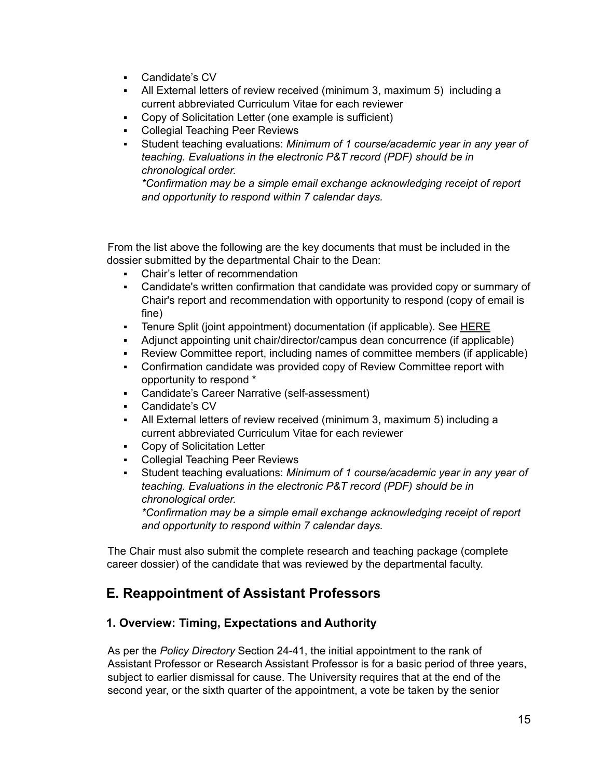- Candidate's CV
- All External letters of review received (minimum 3, maximum 5) including a current abbreviated Curriculum Vitae for each reviewer
- Copy of Solicitation Letter (one example is sufficient)
- Collegial Teaching Peer Reviews
- Student teaching evaluations: *Minimum of 1 course/academic year in any year of teaching. Evaluations in the electronic P&T record (PDF) should be in chronological order.*

*\*Confirmation may be a simple email exchange acknowledging receipt of report and opportunity to respond within 7 calendar days.*

From the list above the following are the key documents that must be included in the dossier submitted by the departmental Chair to the Dean:

- Chair's letter of recommendation
- Candidate's written confirmation that candidate was provided copy or summary of Chair's report and recommendation with opportunity to respond (copy of email is fine)
- Tenure Split (joint appointment) documentation (if applicable). See [HERE](https://ap.washington.edu/ahr/actions/splitting-tenure/)
- Adjunct appointing unit chair/director/campus dean concurrence (if applicable)
- Review Committee report, including names of committee members (if applicable)
- Confirmation candidate was provided copy of Review Committee report with opportunity to respond \*
- Candidate's Career Narrative (self-assessment)
- Candidate's CV
- All External letters of review received (minimum 3, maximum 5) including a current abbreviated Curriculum Vitae for each reviewer
- Copy of Solicitation Letter
- **Collegial Teaching Peer Reviews**
- Student teaching evaluations: *Minimum of 1 course/academic year in any year of teaching. Evaluations in the electronic P&T record (PDF) should be in chronological order.*

*\*Confirmation may be a simple email exchange acknowledging receipt of report and opportunity to respond within 7 calendar days.*

The Chair must also submit the complete research and teaching package (complete career dossier) of the candidate that was reviewed by the departmental faculty.

## <span id="page-14-0"></span>**E. Reappointment of Assistant Professors**

### <span id="page-14-1"></span>**1. Overview: Timing, Expectations and Authority**

As per the *Policy Directory* Section 24-41, the initial appointment to the rank of Assistant Professor or Research Assistant Professor is for a basic period of three years, subject to earlier dismissal for cause. The University requires that at the end of the second year, or the sixth quarter of the appointment, a vote be taken by the senior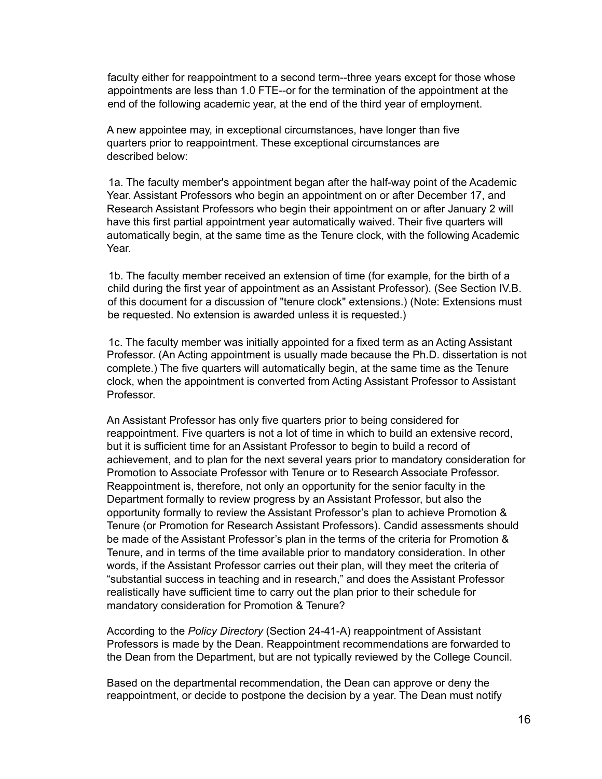faculty either for reappointment to a second term--three years except for those whose appointments are less than 1.0 FTE--or for the termination of the appointment at the end of the following academic year, at the end of the third year of employment.

A new appointee may, in exceptional circumstances, have longer than five quarters prior to reappointment. These exceptional circumstances are described below:

1a. The faculty member's appointment began after the half-way point of the Academic Year. Assistant Professors who begin an appointment on or after December 17, and Research Assistant Professors who begin their appointment on or after January 2 will have this first partial appointment year automatically waived. Their five quarters will automatically begin, at the same time as the Tenure clock, with the following Academic Year.

1b. The faculty member received an extension of time (for example, for the birth of a child during the first year of appointment as an Assistant Professor). (See Section IV.B. of this document for a discussion of "tenure clock" extensions.) (Note: Extensions must be requested. No extension is awarded unless it is requested.)

1c. The faculty member was initially appointed for a fixed term as an Acting Assistant Professor. (An Acting appointment is usually made because the Ph.D. dissertation is not complete.) The five quarters will automatically begin, at the same time as the Tenure clock, when the appointment is converted from Acting Assistant Professor to Assistant Professor.

An Assistant Professor has only five quarters prior to being considered for reappointment. Five quarters is not a lot of time in which to build an extensive record, but it is sufficient time for an Assistant Professor to begin to build a record of achievement, and to plan for the next several years prior to mandatory consideration for Promotion to Associate Professor with Tenure or to Research Associate Professor. Reappointment is, therefore, not only an opportunity for the senior faculty in the Department formally to review progress by an Assistant Professor, but also the opportunity formally to review the Assistant Professor's plan to achieve Promotion & Tenure (or Promotion for Research Assistant Professors). Candid assessments should be made of the Assistant Professor's plan in the terms of the criteria for Promotion & Tenure, and in terms of the time available prior to mandatory consideration. In other words, if the Assistant Professor carries out their plan, will they meet the criteria of "substantial success in teaching and in research," and does the Assistant Professor realistically have sufficient time to carry out the plan prior to their schedule for mandatory consideration for Promotion & Tenure?

According to the *Policy Directory* (Section 24-41-A) reappointment of Assistant Professors is made by the Dean. Reappointment recommendations are forwarded to the Dean from the Department, but are not typically reviewed by the College Council.

Based on the departmental recommendation, the Dean can approve or deny the reappointment, or decide to postpone the decision by a year. The Dean must notify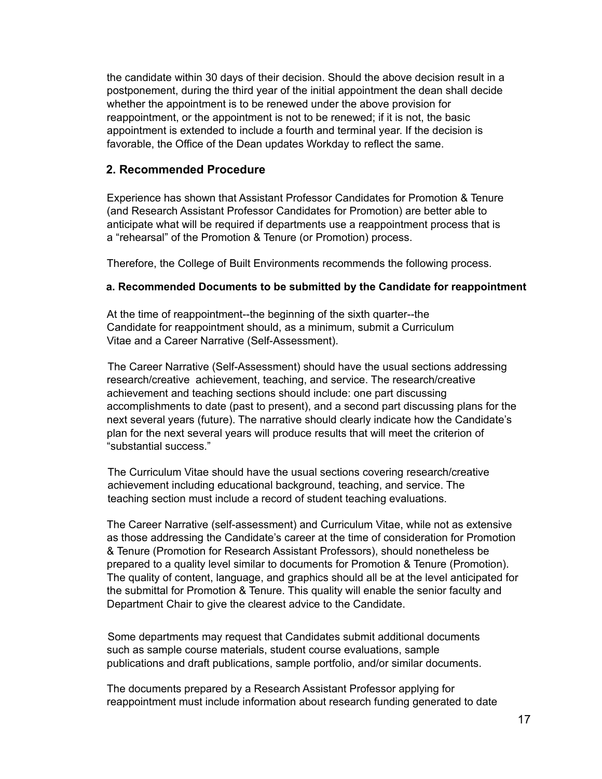the candidate within 30 days of their decision. Should the above decision result in a postponement, during the third year of the initial appointment the dean shall decide whether the appointment is to be renewed under the above provision for reappointment, or the appointment is not to be renewed; if it is not, the basic appointment is extended to include a fourth and terminal year. If the decision is favorable, the Office of the Dean updates Workday to reflect the same.

#### <span id="page-16-0"></span>**2. Recommended Procedure**

Experience has shown that Assistant Professor Candidates for Promotion & Tenure (and Research Assistant Professor Candidates for Promotion) are better able to anticipate what will be required if departments use a reappointment process that is a "rehearsal" of the Promotion & Tenure (or Promotion) process.

<span id="page-16-1"></span>Therefore, the College of Built Environments recommends the following process.

#### **a. Recommended Documents to be submitted by the Candidate for reappointment**

At the time of reappointment--the beginning of the sixth quarter--the Candidate for reappointment should, as a minimum, submit a Curriculum Vitae and a Career Narrative (Self-Assessment).

The Career Narrative (Self-Assessment) should have the usual sections addressing research/creative achievement, teaching, and service. The research/creative achievement and teaching sections should include: one part discussing accomplishments to date (past to present), and a second part discussing plans for the next several years (future). The narrative should clearly indicate how the Candidate's plan for the next several years will produce results that will meet the criterion of "substantial success."

The Curriculum Vitae should have the usual sections covering research/creative achievement including educational background, teaching, and service. The teaching section must include a record of student teaching evaluations.

The Career Narrative (self-assessment) and Curriculum Vitae, while not as extensive as those addressing the Candidate's career at the time of consideration for Promotion & Tenure (Promotion for Research Assistant Professors), should nonetheless be prepared to a quality level similar to documents for Promotion & Tenure (Promotion). The quality of content, language, and graphics should all be at the level anticipated for the submittal for Promotion & Tenure. This quality will enable the senior faculty and Department Chair to give the clearest advice to the Candidate.

Some departments may request that Candidates submit additional documents such as sample course materials, student course evaluations, sample publications and draft publications, sample portfolio, and/or similar documents.

The documents prepared by a Research Assistant Professor applying for reappointment must include information about research funding generated to date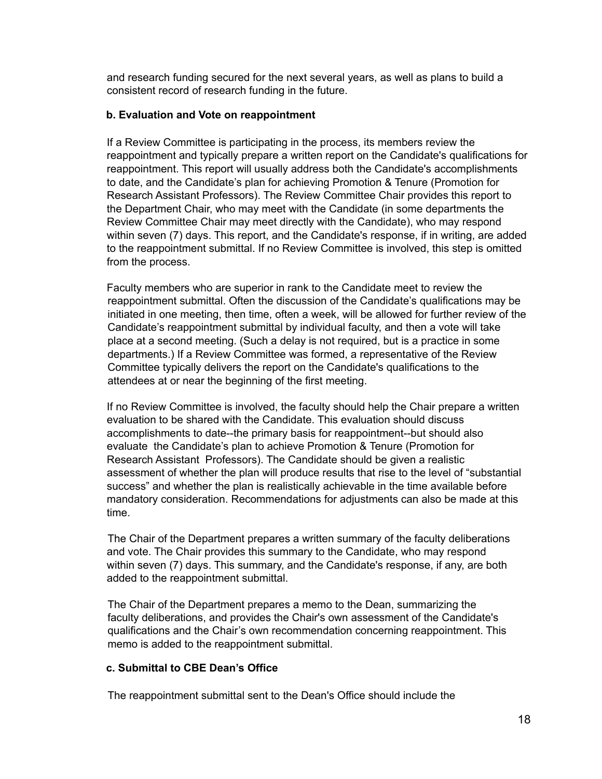and research funding secured for the next several years, as well as plans to build a consistent record of research funding in the future.

#### <span id="page-17-0"></span>**b. Evaluation and Vote on reappointment**

If a Review Committee is participating in the process, its members review the reappointment and typically prepare a written report on the Candidate's qualifications for reappointment. This report will usually address both the Candidate's accomplishments to date, and the Candidate's plan for achieving Promotion & Tenure (Promotion for Research Assistant Professors). The Review Committee Chair provides this report to the Department Chair, who may meet with the Candidate (in some departments the Review Committee Chair may meet directly with the Candidate), who may respond within seven (7) days. This report, and the Candidate's response, if in writing, are added to the reappointment submittal. If no Review Committee is involved, this step is omitted from the process.

Faculty members who are superior in rank to the Candidate meet to review the reappointment submittal. Often the discussion of the Candidate's qualifications may be initiated in one meeting, then time, often a week, will be allowed for further review of the Candidate's reappointment submittal by individual faculty, and then a vote will take place at a second meeting. (Such a delay is not required, but is a practice in some departments.) If a Review Committee was formed, a representative of the Review Committee typically delivers the report on the Candidate's qualifications to the attendees at or near the beginning of the first meeting.

If no Review Committee is involved, the faculty should help the Chair prepare a written evaluation to be shared with the Candidate. This evaluation should discuss accomplishments to date--the primary basis for reappointment--but should also evaluate the Candidate's plan to achieve Promotion & Tenure (Promotion for Research Assistant Professors). The Candidate should be given a realistic assessment of whether the plan will produce results that rise to the level of "substantial success" and whether the plan is realistically achievable in the time available before mandatory consideration. Recommendations for adjustments can also be made at this time.

The Chair of the Department prepares a written summary of the faculty deliberations and vote. The Chair provides this summary to the Candidate, who may respond within seven (7) days. This summary, and the Candidate's response, if any, are both added to the reappointment submittal.

The Chair of the Department prepares a memo to the Dean, summarizing the faculty deliberations, and provides the Chair's own assessment of the Candidate's qualifications and the Chair's own recommendation concerning reappointment. This memo is added to the reappointment submittal.

### <span id="page-17-1"></span>**c. Submittal to CBE Dean's Office**

The reappointment submittal sent to the Dean's Office should include the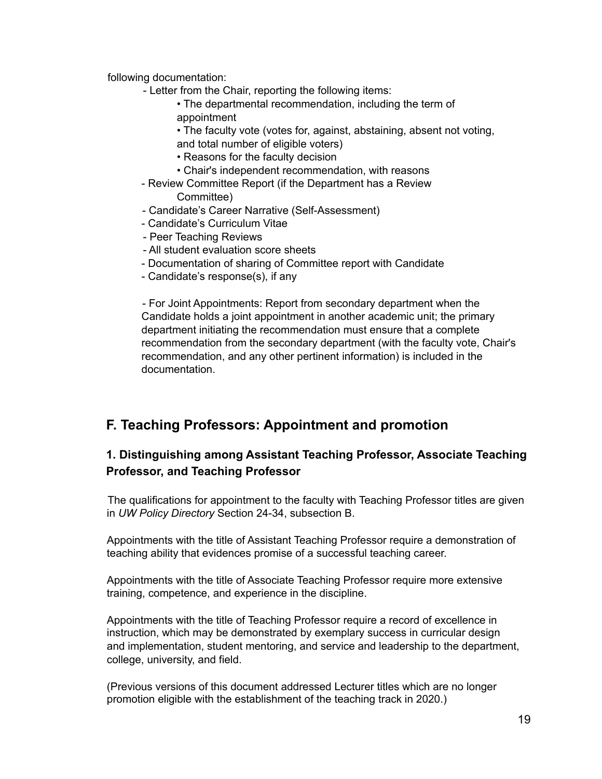following documentation:

- Letter from the Chair, reporting the following items:
	- The departmental recommendation, including the term of appointment
	- The faculty vote (votes for, against, abstaining, absent not voting,
	- and total number of eligible voters)
	- Reasons for the faculty decision
	- Chair's independent recommendation, with reasons
- Review Committee Report (if the Department has a Review Committee)
- Candidate's Career Narrative (Self-Assessment)
- Candidate's Curriculum Vitae
- Peer Teaching Reviews
- All student evaluation score sheets
- Documentation of sharing of Committee report with Candidate
- Candidate's response(s), if any

- For Joint Appointments: Report from secondary department when the Candidate holds a joint appointment in another academic unit; the primary department initiating the recommendation must ensure that a complete recommendation from the secondary department (with the faculty vote, Chair's recommendation, and any other pertinent information) is included in the documentation.

## <span id="page-18-0"></span>**F. Teaching Professors: Appointment and promotion**

## <span id="page-18-1"></span>**1. Distinguishing among Assistant Teaching Professor, Associate Teaching Professor, and Teaching Professor**

The qualifications for appointment to the faculty with Teaching Professor titles are given in *UW Policy Directory* Section 24-34, subsection B.

Appointments with the title of Assistant Teaching Professor require a demonstration of teaching ability that evidences promise of a successful teaching career.

Appointments with the title of Associate Teaching Professor require more extensive training, competence, and experience in the discipline.

Appointments with the title of Teaching Professor require a record of excellence in instruction, which may be demonstrated by exemplary success in curricular design and implementation, student mentoring, and service and leadership to the department, college, university, and field.

(Previous versions of this document addressed Lecturer titles which are no longer promotion eligible with the establishment of the teaching track in 2020.)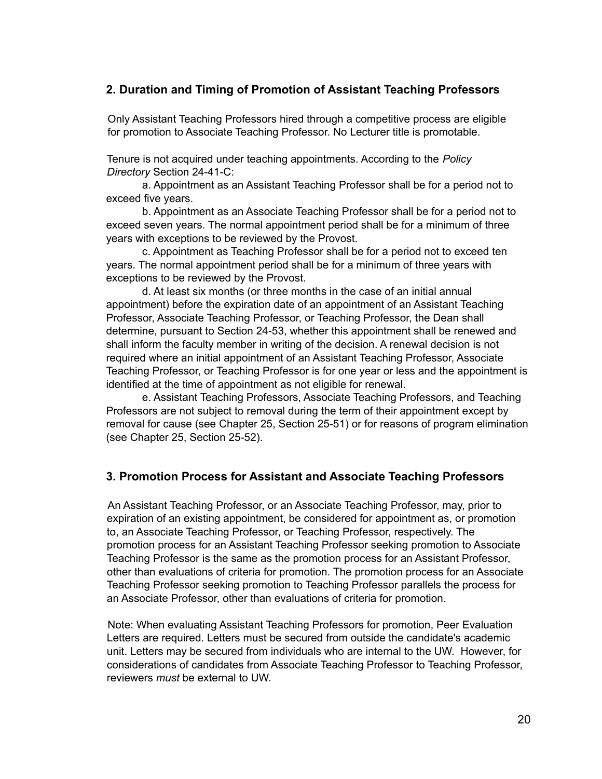### <span id="page-19-0"></span>**2. Duration and Timing of Promotion of Assistant Teaching Professors**

Only Assistant Teaching Professors hired through a competitive process are eligible for promotion to Associate Teaching Professor. No Lecturer title is promotable.

Tenure is not acquired under teaching appointments. According to the *Policy Directory* Section 24-41-C:

a. Appointment as an Assistant Teaching Professor shall be for a period not to exceed five years.

b. Appointment as an Associate Teaching Professor shall be for a period not to exceed seven years. The normal appointment period shall be for a minimum of three years with exceptions to be reviewed by the Provost.

c. Appointment as Teaching Professor shall be for a period not to exceed ten years. The normal appointment period shall be for a minimum of three years with exceptions to be reviewed by the Provost.

d. At least six months (or three months in the case of an initial annual appointment) before the expiration date of an appointment of an Assistant Teaching Professor, Associate Teaching Professor, or Teaching Professor, the Dean shall determine, pursuant to Section 24-53, whether this appointment shall be renewed and shall inform the faculty member in writing of the decision. A renewal decision is not required where an initial appointment of an Assistant Teaching Professor, Associate Teaching Professor, or Teaching Professor is for one year or less and the appointment is identified at the time of appointment as not eligible for renewal.

e. Assistant Teaching Professors, Associate Teaching Professors, and Teaching Professors are not subject to removal during the term of their appointment except by removal for cause (see Chapter 25, Section 25-51) or for reasons of program elimination (see Chapter 25, Section 25-52).

### <span id="page-19-1"></span>**3. Promotion Process for Assistant and Associate Teaching Professors**

An Assistant Teaching Professor, or an Associate Teaching Professor, may, prior to expiration of an existing appointment, be considered for appointment as, or promotion to, an Associate Teaching Professor, or Teaching Professor, respectively. The promotion process for an Assistant Teaching Professor seeking promotion to Associate Teaching Professor is the same as the promotion process for an Assistant Professor, other than evaluations of criteria for promotion. The promotion process for an Associate Teaching Professor seeking promotion to Teaching Professor parallels the process for an Associate Professor, other than evaluations of criteria for promotion.

Note: When evaluating Assistant Teaching Professors for promotion, Peer Evaluation Letters are required. Letters must be secured from outside the candidate's academic unit. Letters may be secured from individuals who are internal to the UW. However, for considerations of candidates from Associate Teaching Professor to Teaching Professor, reviewers *must* be external to UW.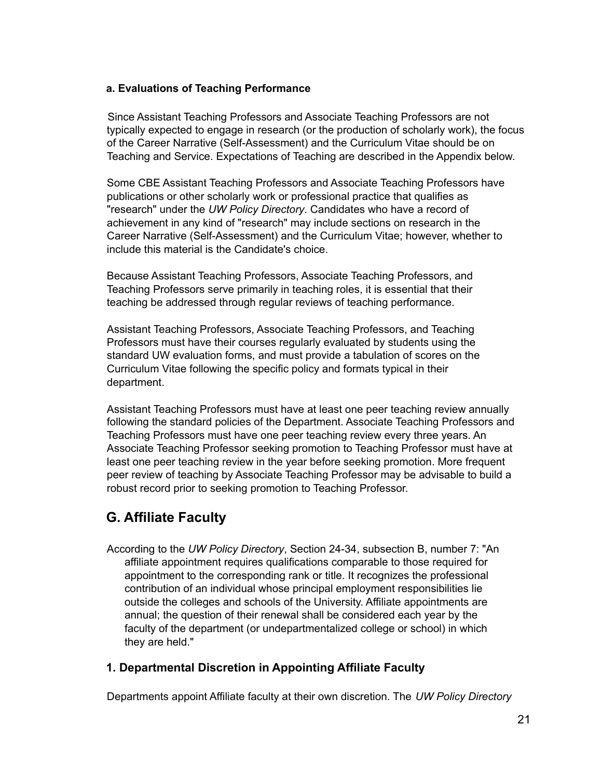#### <span id="page-20-0"></span>**a. Evaluations of Teaching Performance**

Since Assistant Teaching Professors and Associate Teaching Professors are not typically expected to engage in research (or the production of scholarly work), the focus of the Career Narrative (Self-Assessment) and the Curriculum Vitae should be on Teaching and Service. Expectations of Teaching are described in the Appendix below.

Some CBE Assistant Teaching Professors and Associate Teaching Professors have publications or other scholarly work or professional practice that qualifies as "research" under the *UW Policy Directory*. Candidates who have a record of achievement in any kind of "research" may include sections on research in the Career Narrative (Self-Assessment) and the Curriculum Vitae; however, whether to include this material is the Candidate's choice.

Because Assistant Teaching Professors, Associate Teaching Professors, and Teaching Professors serve primarily in teaching roles, it is essential that their teaching be addressed through regular reviews of teaching performance.

Assistant Teaching Professors, Associate Teaching Professors, and Teaching Professors must have their courses regularly evaluated by students using the standard UW evaluation forms, and must provide a tabulation of scores on the Curriculum Vitae following the specific policy and formats typical in their department.

Assistant Teaching Professors must have at least one peer teaching review annually following the standard policies of the Department. Associate Teaching Professors and Teaching Professors must have one peer teaching review every three years. An Associate Teaching Professor seeking promotion to Teaching Professor must have at least one peer teaching review in the year before seeking promotion. More frequent peer review of teaching by Associate Teaching Professor may be advisable to build a robust record prior to seeking promotion to Teaching Professor.

## <span id="page-20-1"></span>**G. Affiliate Faculty**

According to the *UW Policy Directory*, Section 24-34, subsection B, number 7: "An affiliate appointment requires qualifications comparable to those required for appointment to the corresponding rank or title. It recognizes the professional contribution of an individual whose principal employment responsibilities lie outside the colleges and schools of the University. Affiliate appointments are annual; the question of their renewal shall be considered each year by the faculty of the department (or undepartmentalized college or school) in which they are held."

### <span id="page-20-2"></span>**1. Departmental Discretion in Appointing Affiliate Faculty**

Departments appoint Affiliate faculty at their own discretion. The *UW Policy Directory*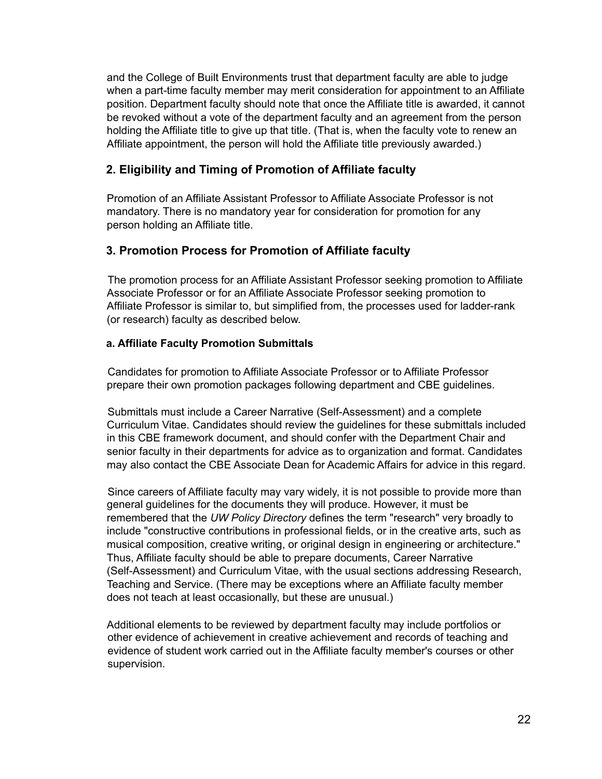and the College of Built Environments trust that department faculty are able to judge when a part-time faculty member may merit consideration for appointment to an Affiliate position. Department faculty should note that once the Affiliate title is awarded, it cannot be revoked without a vote of the department faculty and an agreement from the person holding the Affiliate title to give up that title. (That is, when the faculty vote to renew an Affiliate appointment, the person will hold the Affiliate title previously awarded.)

### <span id="page-21-0"></span>**2. Eligibility and Timing of Promotion of Affiliate faculty**

Promotion of an Affiliate Assistant Professor to Affiliate Associate Professor is not mandatory. There is no mandatory year for consideration for promotion for any person holding an Affiliate title.

### <span id="page-21-1"></span>**3. Promotion Process for Promotion of Affiliate faculty**

The promotion process for an Affiliate Assistant Professor seeking promotion to Affiliate Associate Professor or for an Affiliate Associate Professor seeking promotion to Affiliate Professor is similar to, but simplified from, the processes used for ladder-rank (or research) faculty as described below.

### <span id="page-21-2"></span>**a. Affiliate Faculty Promotion Submittals**

Candidates for promotion to Affiliate Associate Professor or to Affiliate Professor prepare their own promotion packages following department and CBE guidelines.

Submittals must include a Career Narrative (Self-Assessment) and a complete Curriculum Vitae. Candidates should review the guidelines for these submittals included in this CBE framework document, and should confer with the Department Chair and senior faculty in their departments for advice as to organization and format. Candidates may also contact the CBE Associate Dean for Academic Affairs for advice in this regard.

Since careers of Affiliate faculty may vary widely, it is not possible to provide more than general guidelines for the documents they will produce. However, it must be remembered that the *UW Policy Directory* defines the term "research" very broadly to include "constructive contributions in professional fields, or in the creative arts, such as musical composition, creative writing, or original design in engineering or architecture." Thus, Affiliate faculty should be able to prepare documents, Career Narrative (Self-Assessment) and Curriculum Vitae, with the usual sections addressing Research, Teaching and Service. (There may be exceptions where an Affiliate faculty member does not teach at least occasionally, but these are unusual.)

Additional elements to be reviewed by department faculty may include portfolios or other evidence of achievement in creative achievement and records of teaching and evidence of student work carried out in the Affiliate faculty member's courses or other supervision.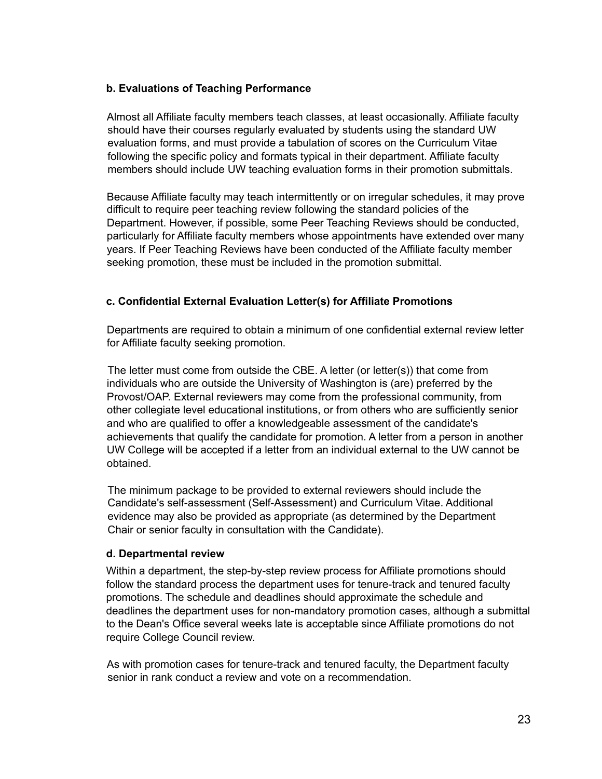#### <span id="page-22-0"></span>**b. Evaluations of Teaching Performance**

Almost all Affiliate faculty members teach classes, at least occasionally. Affiliate faculty should have their courses regularly evaluated by students using the standard UW evaluation forms, and must provide a tabulation of scores on the Curriculum Vitae following the specific policy and formats typical in their department. Affiliate faculty members should include UW teaching evaluation forms in their promotion submittals.

Because Affiliate faculty may teach intermittently or on irregular schedules, it may prove difficult to require peer teaching review following the standard policies of the Department. However, if possible, some Peer Teaching Reviews should be conducted, particularly for Affiliate faculty members whose appointments have extended over many years. If Peer Teaching Reviews have been conducted of the Affiliate faculty member seeking promotion, these must be included in the promotion submittal.

#### <span id="page-22-1"></span>**c. Confidential External Evaluation Letter(s) for Affiliate Promotions**

Departments are required to obtain a minimum of one confidential external review letter for Affiliate faculty seeking promotion.

The letter must come from outside the CBE. A letter (or letter(s)) that come from individuals who are outside the University of Washington is (are) preferred by the Provost/OAP. External reviewers may come from the professional community, from other collegiate level educational institutions, or from others who are sufficiently senior and who are qualified to offer a knowledgeable assessment of the candidate's achievements that qualify the candidate for promotion. A letter from a person in another UW College will be accepted if a letter from an individual external to the UW cannot be obtained.

The minimum package to be provided to external reviewers should include the Candidate's self-assessment (Self-Assessment) and Curriculum Vitae. Additional evidence may also be provided as appropriate (as determined by the Department Chair or senior faculty in consultation with the Candidate).

#### <span id="page-22-2"></span>**d. Departmental review**

Within a department, the step-by-step review process for Affiliate promotions should follow the standard process the department uses for tenure-track and tenured faculty promotions. The schedule and deadlines should approximate the schedule and deadlines the department uses for non-mandatory promotion cases, although a submittal to the Dean's Office several weeks late is acceptable since Affiliate promotions do not require College Council review.

As with promotion cases for tenure-track and tenured faculty, the Department faculty senior in rank conduct a review and vote on a recommendation.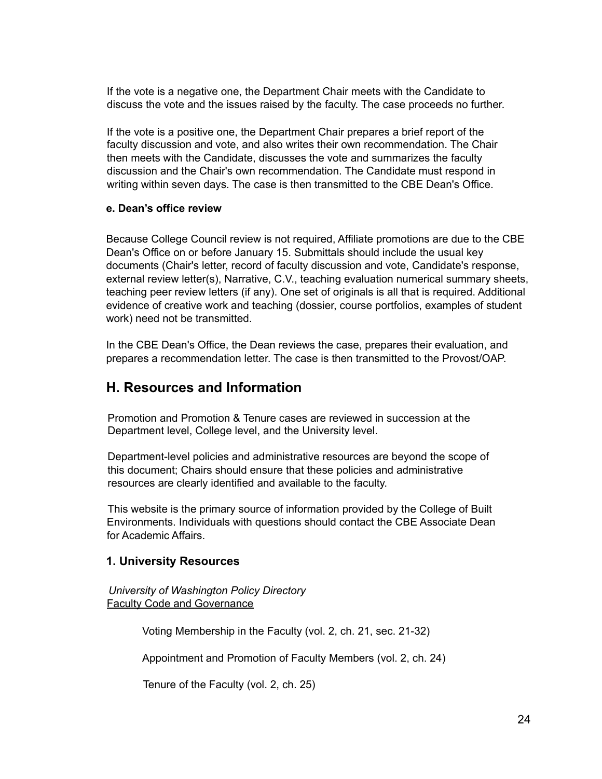If the vote is a negative one, the Department Chair meets with the Candidate to discuss the vote and the issues raised by the faculty. The case proceeds no further.

If the vote is a positive one, the Department Chair prepares a brief report of the faculty discussion and vote, and also writes their own recommendation. The Chair then meets with the Candidate, discusses the vote and summarizes the faculty discussion and the Chair's own recommendation. The Candidate must respond in writing within seven days. The case is then transmitted to the CBE Dean's Office.

#### <span id="page-23-0"></span>**e. Dean's office review**

Because College Council review is not required, Affiliate promotions are due to the CBE Dean's Office on or before January 15. Submittals should include the usual key documents (Chair's letter, record of faculty discussion and vote, Candidate's response, external review letter(s), Narrative, C.V., teaching evaluation numerical summary sheets, teaching peer review letters (if any). One set of originals is all that is required. Additional evidence of creative work and teaching (dossier, course portfolios, examples of student work) need not be transmitted.

In the CBE Dean's Office, the Dean reviews the case, prepares their evaluation, and prepares a recommendation letter. The case is then transmitted to the Provost/OAP.

## <span id="page-23-1"></span>**H. Resources and Information**

Promotion and Promotion & Tenure cases are reviewed in succession at the Department level, College level, and the University level.

Department-level policies and administrative resources are beyond the scope of this document; Chairs should ensure that these policies and administrative resources are clearly identified and available to the faculty.

This website is the primary source of information provided by the College of Built Environments. Individuals with questions should contact the CBE Associate Dean for Academic Affairs.

#### <span id="page-23-2"></span>**1. University Resources**

*University of Washington Policy Directory* Faculty Code and [Governance](https://www.washington.edu/admin/rules/policies/FCG/FCGTOC.html)

Voting Membership in the Faculty (vol. 2, ch. 21, sec. 21-32)

Appointment and Promotion of Faculty Members (vol. 2, ch. 24)

Tenure of the Faculty (vol. 2, ch. 25)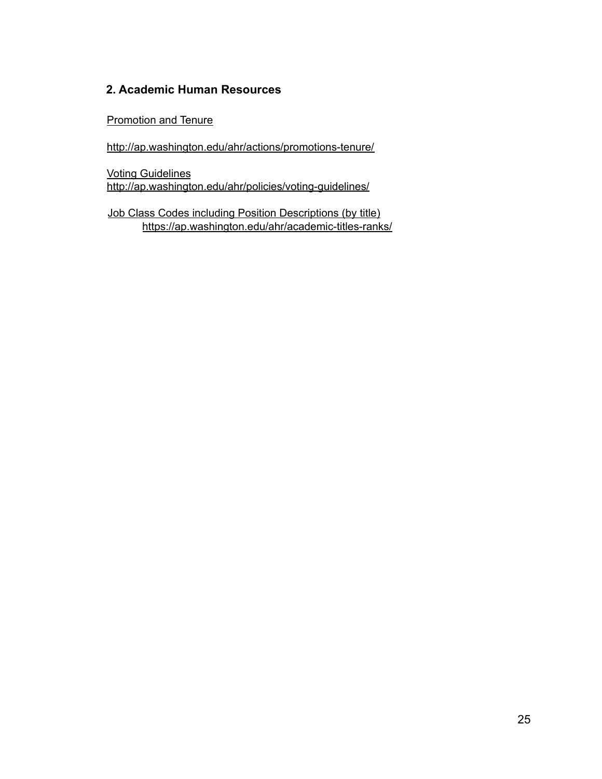### <span id="page-24-0"></span>**2. Academic Human Resources**

[Promotion](http://ap.washington.edu/ahr/actions/promotions-tenure/) and Tenure

<http://ap.washington.edu/ahr/actions/promotions-tenure/>

Voting [Guidelines](http://ap.washington.edu/ahr/policies/voting-guidelines/) http://ap.washington.edu/ahr/policies/voting-guidelines/

Job Class Codes including Position [Descriptions](https://ap.washington.edu/ahr/academic-titles-ranks/) (by title) https://ap.washington.edu/ahr/academic-titles-ranks/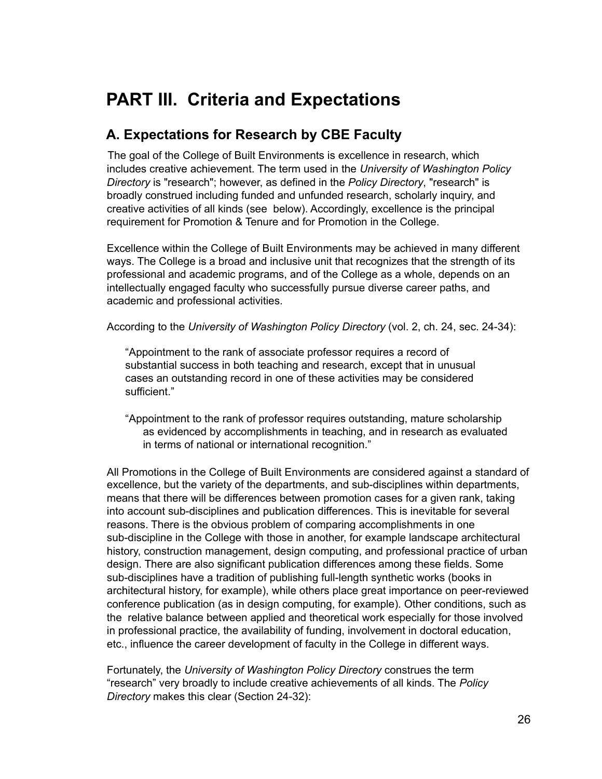# <span id="page-25-0"></span>**PART III. Criteria and Expectations**

## <span id="page-25-1"></span>**A. Expectations for Research by CBE Faculty**

The goal of the College of Built Environments is excellence in research, which includes creative achievement. The term used in the *University of Washington Policy Directory* is "research"; however, as defined in the *Policy Directory*, "research" is broadly construed including funded and unfunded research, scholarly inquiry, and creative activities of all kinds (see below). Accordingly, excellence is the principal requirement for Promotion & Tenure and for Promotion in the College.

Excellence within the College of Built Environments may be achieved in many different ways. The College is a broad and inclusive unit that recognizes that the strength of its professional and academic programs, and of the College as a whole, depends on an intellectually engaged faculty who successfully pursue diverse career paths, and academic and professional activities.

According to the *University of Washington Policy Directory* (vol. 2, ch. 24, sec. 24-34):

"Appointment to the rank of associate professor requires a record of substantial success in both teaching and research, except that in unusual cases an outstanding record in one of these activities may be considered sufficient."

"Appointment to the rank of professor requires outstanding, mature scholarship as evidenced by accomplishments in teaching, and in research as evaluated in terms of national or international recognition."

All Promotions in the College of Built Environments are considered against a standard of excellence, but the variety of the departments, and sub-disciplines within departments, means that there will be differences between promotion cases for a given rank, taking into account sub-disciplines and publication differences. This is inevitable for several reasons. There is the obvious problem of comparing accomplishments in one sub-discipline in the College with those in another, for example landscape architectural history, construction management, design computing, and professional practice of urban design. There are also significant publication differences among these fields. Some sub-disciplines have a tradition of publishing full-length synthetic works (books in architectural history, for example), while others place great importance on peer-reviewed conference publication (as in design computing, for example). Other conditions, such as the relative balance between applied and theoretical work especially for those involved in professional practice, the availability of funding, involvement in doctoral education, etc., influence the career development of faculty in the College in different ways.

Fortunately, the *University of Washington Policy Directory* construes the term "research" very broadly to include creative achievements of all kinds. The *Policy Directory* makes this clear (Section 24-32):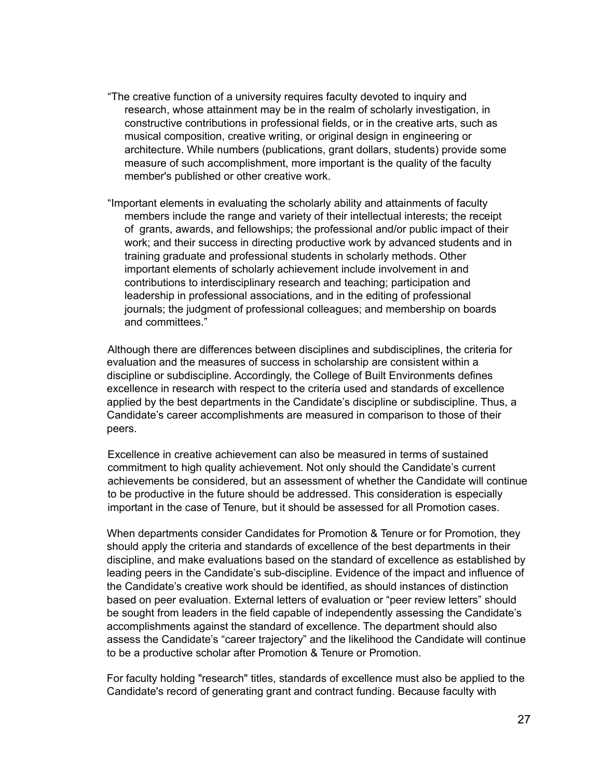- "The creative function of a university requires faculty devoted to inquiry and research, whose attainment may be in the realm of scholarly investigation, in constructive contributions in professional fields, or in the creative arts, such as musical composition, creative writing, or original design in engineering or architecture. While numbers (publications, grant dollars, students) provide some measure of such accomplishment, more important is the quality of the faculty member's published or other creative work.
- "Important elements in evaluating the scholarly ability and attainments of faculty members include the range and variety of their intellectual interests; the receipt of grants, awards, and fellowships; the professional and/or public impact of their work; and their success in directing productive work by advanced students and in training graduate and professional students in scholarly methods. Other important elements of scholarly achievement include involvement in and contributions to interdisciplinary research and teaching; participation and leadership in professional associations, and in the editing of professional journals; the judgment of professional colleagues; and membership on boards and committees."

Although there are differences between disciplines and subdisciplines, the criteria for evaluation and the measures of success in scholarship are consistent within a discipline or subdiscipline. Accordingly, the College of Built Environments defines excellence in research with respect to the criteria used and standards of excellence applied by the best departments in the Candidate's discipline or subdiscipline. Thus, a Candidate's career accomplishments are measured in comparison to those of their peers.

Excellence in creative achievement can also be measured in terms of sustained commitment to high quality achievement. Not only should the Candidate's current achievements be considered, but an assessment of whether the Candidate will continue to be productive in the future should be addressed. This consideration is especially important in the case of Tenure, but it should be assessed for all Promotion cases.

When departments consider Candidates for Promotion & Tenure or for Promotion, they should apply the criteria and standards of excellence of the best departments in their discipline, and make evaluations based on the standard of excellence as established by leading peers in the Candidate's sub-discipline. Evidence of the impact and influence of the Candidate's creative work should be identified, as should instances of distinction based on peer evaluation. External letters of evaluation or "peer review letters" should be sought from leaders in the field capable of independently assessing the Candidate's accomplishments against the standard of excellence. The department should also assess the Candidate's "career trajectory" and the likelihood the Candidate will continue to be a productive scholar after Promotion & Tenure or Promotion.

For faculty holding "research" titles, standards of excellence must also be applied to the Candidate's record of generating grant and contract funding. Because faculty with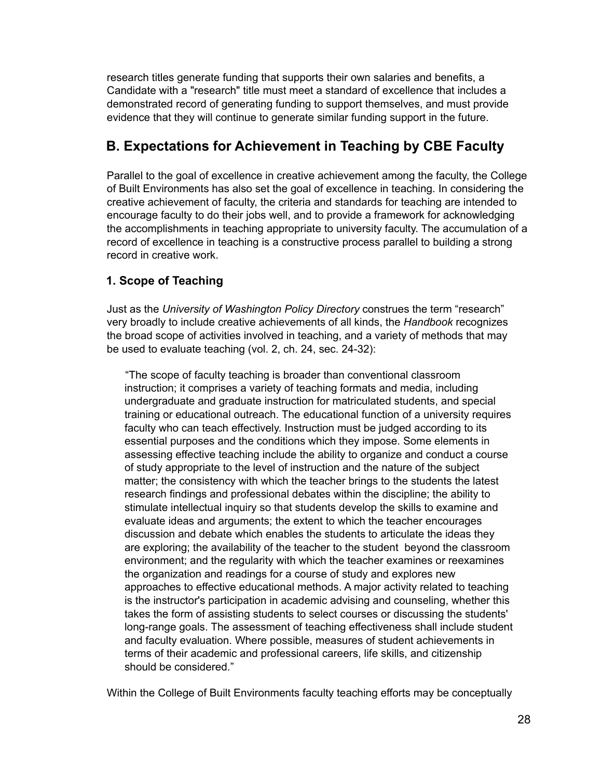research titles generate funding that supports their own salaries and benefits, a Candidate with a "research" title must meet a standard of excellence that includes a demonstrated record of generating funding to support themselves, and must provide evidence that they will continue to generate similar funding support in the future.

## <span id="page-27-0"></span>**B. Expectations for Achievement in Teaching by CBE Faculty**

Parallel to the goal of excellence in creative achievement among the faculty, the College of Built Environments has also set the goal of excellence in teaching. In considering the creative achievement of faculty, the criteria and standards for teaching are intended to encourage faculty to do their jobs well, and to provide a framework for acknowledging the accomplishments in teaching appropriate to university faculty. The accumulation of a record of excellence in teaching is a constructive process parallel to building a strong record in creative work.

## <span id="page-27-1"></span>**1. Scope of Teaching**

Just as the *University of Washington Policy Directory* construes the term "research" very broadly to include creative achievements of all kinds, the *Handbook* recognizes the broad scope of activities involved in teaching, and a variety of methods that may be used to evaluate teaching (vol. 2, ch. 24, sec. 24-32):

"The scope of faculty teaching is broader than conventional classroom instruction; it comprises a variety of teaching formats and media, including undergraduate and graduate instruction for matriculated students, and special training or educational outreach. The educational function of a university requires faculty who can teach effectively. Instruction must be judged according to its essential purposes and the conditions which they impose. Some elements in assessing effective teaching include the ability to organize and conduct a course of study appropriate to the level of instruction and the nature of the subject matter; the consistency with which the teacher brings to the students the latest research findings and professional debates within the discipline; the ability to stimulate intellectual inquiry so that students develop the skills to examine and evaluate ideas and arguments; the extent to which the teacher encourages discussion and debate which enables the students to articulate the ideas they are exploring; the availability of the teacher to the student beyond the classroom environment; and the regularity with which the teacher examines or reexamines the organization and readings for a course of study and explores new approaches to effective educational methods. A major activity related to teaching is the instructor's participation in academic advising and counseling, whether this takes the form of assisting students to select courses or discussing the students' long-range goals. The assessment of teaching effectiveness shall include student and faculty evaluation. Where possible, measures of student achievements in terms of their academic and professional careers, life skills, and citizenship should be considered."

Within the College of Built Environments faculty teaching efforts may be conceptually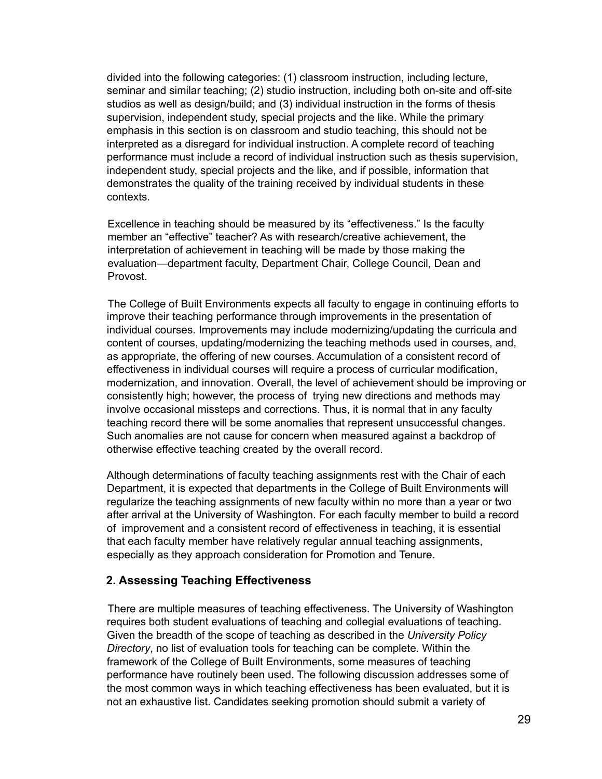divided into the following categories: (1) classroom instruction, including lecture, seminar and similar teaching; (2) studio instruction, including both on-site and off-site studios as well as design/build; and (3) individual instruction in the forms of thesis supervision, independent study, special projects and the like. While the primary emphasis in this section is on classroom and studio teaching, this should not be interpreted as a disregard for individual instruction. A complete record of teaching performance must include a record of individual instruction such as thesis supervision, independent study, special projects and the like, and if possible, information that demonstrates the quality of the training received by individual students in these contexts.

Excellence in teaching should be measured by its "effectiveness." Is the faculty member an "effective" teacher? As with research/creative achievement, the interpretation of achievement in teaching will be made by those making the evaluation—department faculty, Department Chair, College Council, Dean and Provost.

The College of Built Environments expects all faculty to engage in continuing efforts to improve their teaching performance through improvements in the presentation of individual courses. Improvements may include modernizing/updating the curricula and content of courses, updating/modernizing the teaching methods used in courses, and, as appropriate, the offering of new courses. Accumulation of a consistent record of effectiveness in individual courses will require a process of curricular modification, modernization, and innovation. Overall, the level of achievement should be improving or consistently high; however, the process of trying new directions and methods may involve occasional missteps and corrections. Thus, it is normal that in any faculty teaching record there will be some anomalies that represent unsuccessful changes. Such anomalies are not cause for concern when measured against a backdrop of otherwise effective teaching created by the overall record.

Although determinations of faculty teaching assignments rest with the Chair of each Department, it is expected that departments in the College of Built Environments will regularize the teaching assignments of new faculty within no more than a year or two after arrival at the University of Washington. For each faculty member to build a record of improvement and a consistent record of effectiveness in teaching, it is essential that each faculty member have relatively regular annual teaching assignments, especially as they approach consideration for Promotion and Tenure.

#### <span id="page-28-0"></span>**2. Assessing Teaching Effectiveness**

There are multiple measures of teaching effectiveness. The University of Washington requires both student evaluations of teaching and collegial evaluations of teaching. Given the breadth of the scope of teaching as described in the *University Policy Directory*, no list of evaluation tools for teaching can be complete. Within the framework of the College of Built Environments, some measures of teaching performance have routinely been used. The following discussion addresses some of the most common ways in which teaching effectiveness has been evaluated, but it is not an exhaustive list. Candidates seeking promotion should submit a variety of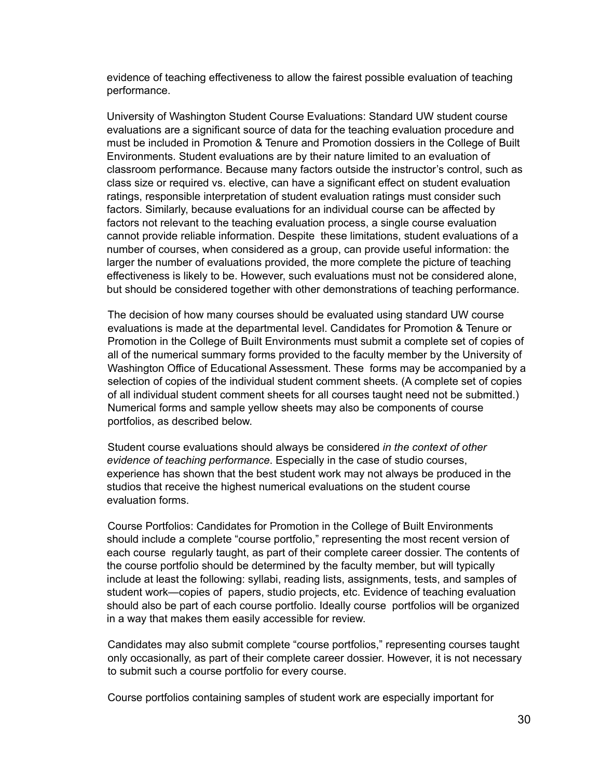evidence of teaching effectiveness to allow the fairest possible evaluation of teaching performance.

University of Washington Student Course Evaluations: Standard UW student course evaluations are a significant source of data for the teaching evaluation procedure and must be included in Promotion & Tenure and Promotion dossiers in the College of Built Environments. Student evaluations are by their nature limited to an evaluation of classroom performance. Because many factors outside the instructor's control, such as class size or required vs. elective, can have a significant effect on student evaluation ratings, responsible interpretation of student evaluation ratings must consider such factors. Similarly, because evaluations for an individual course can be affected by factors not relevant to the teaching evaluation process, a single course evaluation cannot provide reliable information. Despite these limitations, student evaluations of a number of courses, when considered as a group, can provide useful information: the larger the number of evaluations provided, the more complete the picture of teaching effectiveness is likely to be. However, such evaluations must not be considered alone, but should be considered together with other demonstrations of teaching performance.

The decision of how many courses should be evaluated using standard UW course evaluations is made at the departmental level. Candidates for Promotion & Tenure or Promotion in the College of Built Environments must submit a complete set of copies of all of the numerical summary forms provided to the faculty member by the University of Washington Office of Educational Assessment. These forms may be accompanied by a selection of copies of the individual student comment sheets. (A complete set of copies of all individual student comment sheets for all courses taught need not be submitted.) Numerical forms and sample yellow sheets may also be components of course portfolios, as described below.

Student course evaluations should always be considered *in the context of other evidence of teaching performance*. Especially in the case of studio courses, experience has shown that the best student work may not always be produced in the studios that receive the highest numerical evaluations on the student course evaluation forms.

Course Portfolios: Candidates for Promotion in the College of Built Environments should include a complete "course portfolio," representing the most recent version of each course regularly taught, as part of their complete career dossier. The contents of the course portfolio should be determined by the faculty member, but will typically include at least the following: syllabi, reading lists, assignments, tests, and samples of student work—copies of papers, studio projects, etc. Evidence of teaching evaluation should also be part of each course portfolio. Ideally course portfolios will be organized in a way that makes them easily accessible for review.

Candidates may also submit complete "course portfolios," representing courses taught only occasionally, as part of their complete career dossier. However, it is not necessary to submit such a course portfolio for every course.

Course portfolios containing samples of student work are especially important for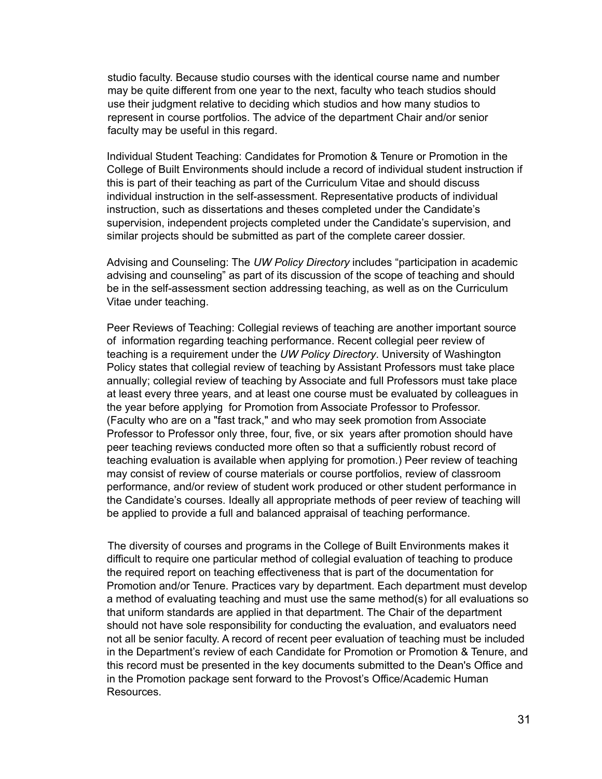studio faculty. Because studio courses with the identical course name and number may be quite different from one year to the next, faculty who teach studios should use their judgment relative to deciding which studios and how many studios to represent in course portfolios. The advice of the department Chair and/or senior faculty may be useful in this regard.

Individual Student Teaching: Candidates for Promotion & Tenure or Promotion in the College of Built Environments should include a record of individual student instruction if this is part of their teaching as part of the Curriculum Vitae and should discuss individual instruction in the self-assessment. Representative products of individual instruction, such as dissertations and theses completed under the Candidate's supervision, independent projects completed under the Candidate's supervision, and similar projects should be submitted as part of the complete career dossier.

Advising and Counseling: The *UW Policy Directory* includes "participation in academic advising and counseling" as part of its discussion of the scope of teaching and should be in the self-assessment section addressing teaching, as well as on the Curriculum Vitae under teaching.

Peer Reviews of Teaching: Collegial reviews of teaching are another important source of information regarding teaching performance. Recent collegial peer review of teaching is a requirement under the *UW Policy Directory*. University of Washington Policy states that collegial review of teaching by Assistant Professors must take place annually; collegial review of teaching by Associate and full Professors must take place at least every three years, and at least one course must be evaluated by colleagues in the year before applying for Promotion from Associate Professor to Professor. (Faculty who are on a "fast track," and who may seek promotion from Associate Professor to Professor only three, four, five, or six years after promotion should have peer teaching reviews conducted more often so that a sufficiently robust record of teaching evaluation is available when applying for promotion.) Peer review of teaching may consist of review of course materials or course portfolios, review of classroom performance, and/or review of student work produced or other student performance in the Candidate's courses. Ideally all appropriate methods of peer review of teaching will be applied to provide a full and balanced appraisal of teaching performance.

The diversity of courses and programs in the College of Built Environments makes it difficult to require one particular method of collegial evaluation of teaching to produce the required report on teaching effectiveness that is part of the documentation for Promotion and/or Tenure. Practices vary by department. Each department must develop a method of evaluating teaching and must use the same method(s) for all evaluations so that uniform standards are applied in that department. The Chair of the department should not have sole responsibility for conducting the evaluation, and evaluators need not all be senior faculty. A record of recent peer evaluation of teaching must be included in the Department's review of each Candidate for Promotion or Promotion & Tenure, and this record must be presented in the key documents submitted to the Dean's Office and in the Promotion package sent forward to the Provost's Office/Academic Human Resources.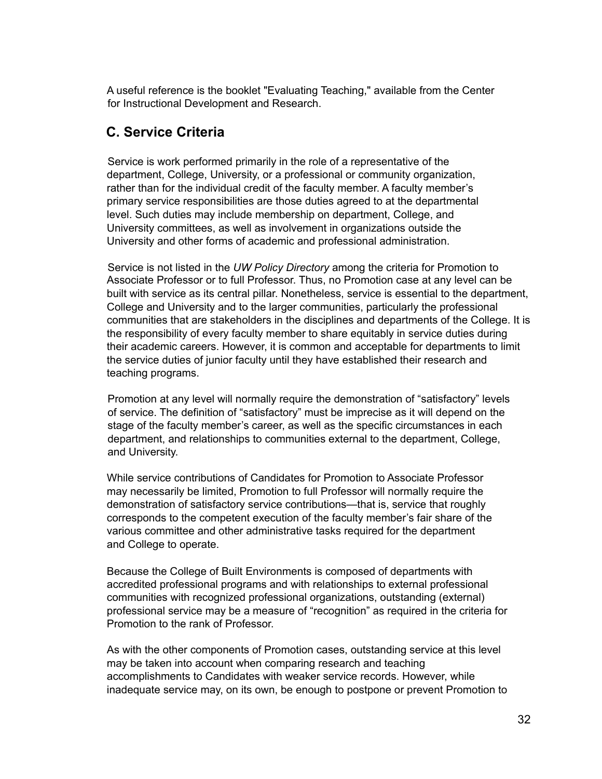A useful reference is the booklet "Evaluating Teaching," available from the Center for Instructional Development and Research.

## <span id="page-31-0"></span>**C. Service Criteria**

Service is work performed primarily in the role of a representative of the department, College, University, or a professional or community organization, rather than for the individual credit of the faculty member. A faculty member's primary service responsibilities are those duties agreed to at the departmental level. Such duties may include membership on department, College, and University committees, as well as involvement in organizations outside the University and other forms of academic and professional administration.

Service is not listed in the *UW Policy Directory* among the criteria for Promotion to Associate Professor or to full Professor. Thus, no Promotion case at any level can be built with service as its central pillar. Nonetheless, service is essential to the department, College and University and to the larger communities, particularly the professional communities that are stakeholders in the disciplines and departments of the College. It is the responsibility of every faculty member to share equitably in service duties during their academic careers. However, it is common and acceptable for departments to limit the service duties of junior faculty until they have established their research and teaching programs.

Promotion at any level will normally require the demonstration of "satisfactory" levels of service. The definition of "satisfactory" must be imprecise as it will depend on the stage of the faculty member's career, as well as the specific circumstances in each department, and relationships to communities external to the department, College, and University.

While service contributions of Candidates for Promotion to Associate Professor may necessarily be limited, Promotion to full Professor will normally require the demonstration of satisfactory service contributions—that is, service that roughly corresponds to the competent execution of the faculty member's fair share of the various committee and other administrative tasks required for the department and College to operate.

Because the College of Built Environments is composed of departments with accredited professional programs and with relationships to external professional communities with recognized professional organizations, outstanding (external) professional service may be a measure of "recognition" as required in the criteria for Promotion to the rank of Professor.

As with the other components of Promotion cases, outstanding service at this level may be taken into account when comparing research and teaching accomplishments to Candidates with weaker service records. However, while inadequate service may, on its own, be enough to postpone or prevent Promotion to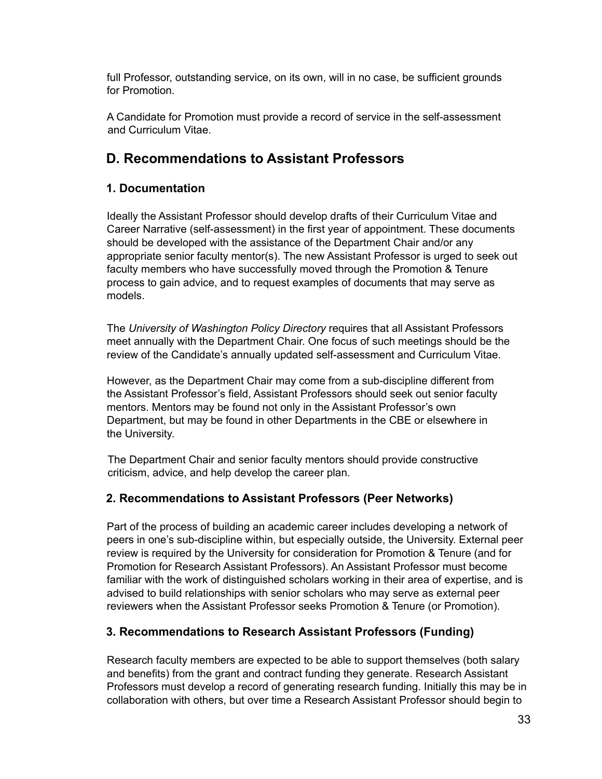full Professor, outstanding service, on its own, will in no case, be sufficient grounds for Promotion.

A Candidate for Promotion must provide a record of service in the self-assessment and Curriculum Vitae.

## <span id="page-32-0"></span>**D. Recommendations to Assistant Professors**

## <span id="page-32-1"></span>**1. Documentation**

Ideally the Assistant Professor should develop drafts of their Curriculum Vitae and Career Narrative (self-assessment) in the first year of appointment. These documents should be developed with the assistance of the Department Chair and/or any appropriate senior faculty mentor(s). The new Assistant Professor is urged to seek out faculty members who have successfully moved through the Promotion & Tenure process to gain advice, and to request examples of documents that may serve as models.

The *University of Washington Policy Directory* requires that all Assistant Professors meet annually with the Department Chair. One focus of such meetings should be the review of the Candidate's annually updated self-assessment and Curriculum Vitae.

However, as the Department Chair may come from a sub-discipline different from the Assistant Professor's field, Assistant Professors should seek out senior faculty mentors. Mentors may be found not only in the Assistant Professor's own Department, but may be found in other Departments in the CBE or elsewhere in the University.

The Department Chair and senior faculty mentors should provide constructive criticism, advice, and help develop the career plan.

### <span id="page-32-2"></span>**2. Recommendations to Assistant Professors (Peer Networks)**

Part of the process of building an academic career includes developing a network of peers in one's sub-discipline within, but especially outside, the University. External peer review is required by the University for consideration for Promotion & Tenure (and for Promotion for Research Assistant Professors). An Assistant Professor must become familiar with the work of distinguished scholars working in their area of expertise, and is advised to build relationships with senior scholars who may serve as external peer reviewers when the Assistant Professor seeks Promotion & Tenure (or Promotion).

### <span id="page-32-3"></span>**3. Recommendations to Research Assistant Professors (Funding)**

Research faculty members are expected to be able to support themselves (both salary and benefits) from the grant and contract funding they generate. Research Assistant Professors must develop a record of generating research funding. Initially this may be in collaboration with others, but over time a Research Assistant Professor should begin to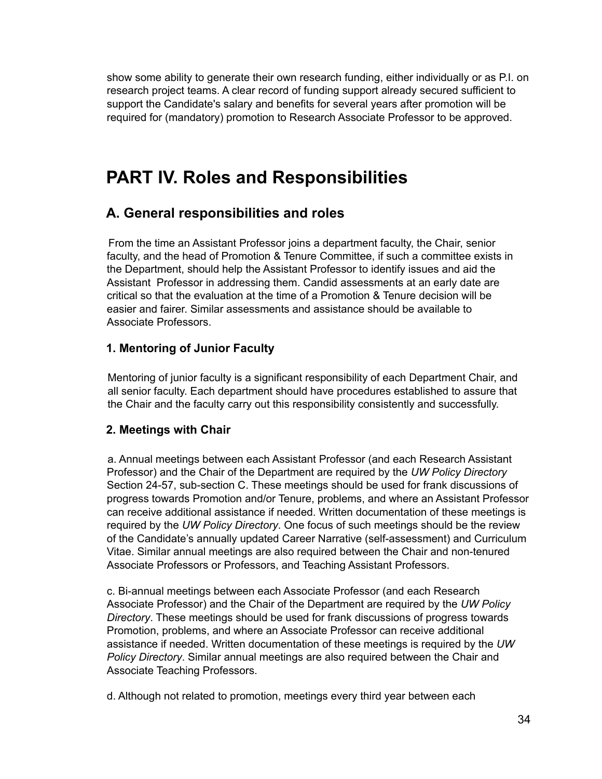show some ability to generate their own research funding, either individually or as P.I. on research project teams. A clear record of funding support already secured sufficient to support the Candidate's salary and benefits for several years after promotion will be required for (mandatory) promotion to Research Associate Professor to be approved.

# <span id="page-33-0"></span>**PART IV. Roles and Responsibilities**

## <span id="page-33-1"></span>**A. General responsibilities and roles**

From the time an Assistant Professor joins a department faculty, the Chair, senior faculty, and the head of Promotion & Tenure Committee, if such a committee exists in the Department, should help the Assistant Professor to identify issues and aid the Assistant Professor in addressing them. Candid assessments at an early date are critical so that the evaluation at the time of a Promotion & Tenure decision will be easier and fairer. Similar assessments and assistance should be available to Associate Professors.

### <span id="page-33-2"></span>**1. Mentoring of Junior Faculty**

Mentoring of junior faculty is a significant responsibility of each Department Chair, and all senior faculty. Each department should have procedures established to assure that the Chair and the faculty carry out this responsibility consistently and successfully.

### <span id="page-33-3"></span>**2. Meetings with Chair**

a. Annual meetings between each Assistant Professor (and each Research Assistant Professor) and the Chair of the Department are required by the *UW Policy Directory* Section 24-57, sub-section C. These meetings should be used for frank discussions of progress towards Promotion and/or Tenure, problems, and where an Assistant Professor can receive additional assistance if needed. Written documentation of these meetings is required by the *UW Policy Directory*. One focus of such meetings should be the review of the Candidate's annually updated Career Narrative (self-assessment) and Curriculum Vitae. Similar annual meetings are also required between the Chair and non-tenured Associate Professors or Professors, and Teaching Assistant Professors.

c. Bi-annual meetings between each Associate Professor (and each Research Associate Professor) and the Chair of the Department are required by the *UW Policy Directory*. These meetings should be used for frank discussions of progress towards Promotion, problems, and where an Associate Professor can receive additional assistance if needed. Written documentation of these meetings is required by the *UW Policy Directory*. Similar annual meetings are also required between the Chair and Associate Teaching Professors.

d. Although not related to promotion, meetings every third year between each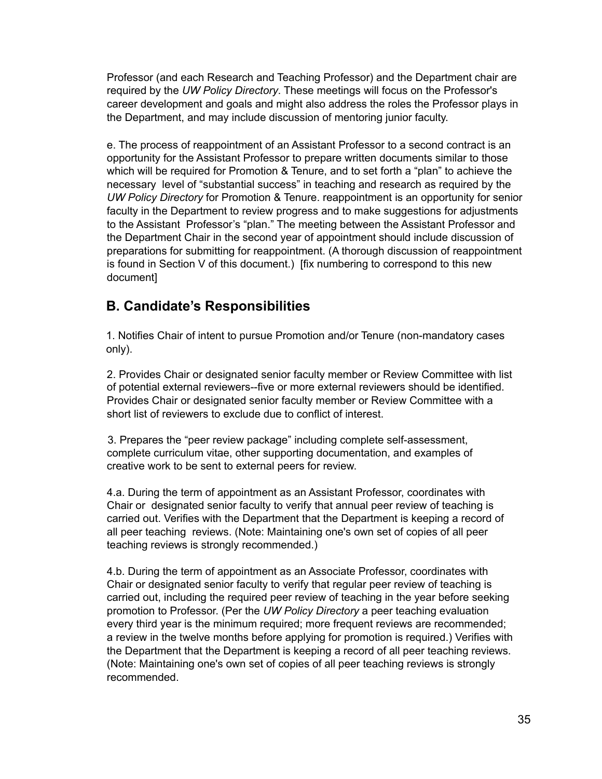Professor (and each Research and Teaching Professor) and the Department chair are required by the *UW Policy Directory*. These meetings will focus on the Professor's career development and goals and might also address the roles the Professor plays in the Department, and may include discussion of mentoring junior faculty.

e. The process of reappointment of an Assistant Professor to a second contract is an opportunity for the Assistant Professor to prepare written documents similar to those which will be required for Promotion & Tenure, and to set forth a "plan" to achieve the necessary level of "substantial success" in teaching and research as required by the *UW Policy Directory* for Promotion & Tenure. reappointment is an opportunity for senior faculty in the Department to review progress and to make suggestions for adjustments to the Assistant Professor's "plan." The meeting between the Assistant Professor and the Department Chair in the second year of appointment should include discussion of preparations for submitting for reappointment. (A thorough discussion of reappointment is found in Section V of this document.) [fix numbering to correspond to this new document]

## <span id="page-34-0"></span>**B. Candidate's Responsibilities**

1. Notifies Chair of intent to pursue Promotion and/or Tenure (non-mandatory cases only).

2. Provides Chair or designated senior faculty member or Review Committee with list of potential external reviewers--five or more external reviewers should be identified. Provides Chair or designated senior faculty member or Review Committee with a short list of reviewers to exclude due to conflict of interest.

3. Prepares the "peer review package" including complete self-assessment, complete curriculum vitae, other supporting documentation, and examples of creative work to be sent to external peers for review.

4.a. During the term of appointment as an Assistant Professor, coordinates with Chair or designated senior faculty to verify that annual peer review of teaching is carried out. Verifies with the Department that the Department is keeping a record of all peer teaching reviews. (Note: Maintaining one's own set of copies of all peer teaching reviews is strongly recommended.)

4.b. During the term of appointment as an Associate Professor, coordinates with Chair or designated senior faculty to verify that regular peer review of teaching is carried out, including the required peer review of teaching in the year before seeking promotion to Professor. (Per the *UW Policy Directory* a peer teaching evaluation every third year is the minimum required; more frequent reviews are recommended; a review in the twelve months before applying for promotion is required.) Verifies with the Department that the Department is keeping a record of all peer teaching reviews. (Note: Maintaining one's own set of copies of all peer teaching reviews is strongly recommended.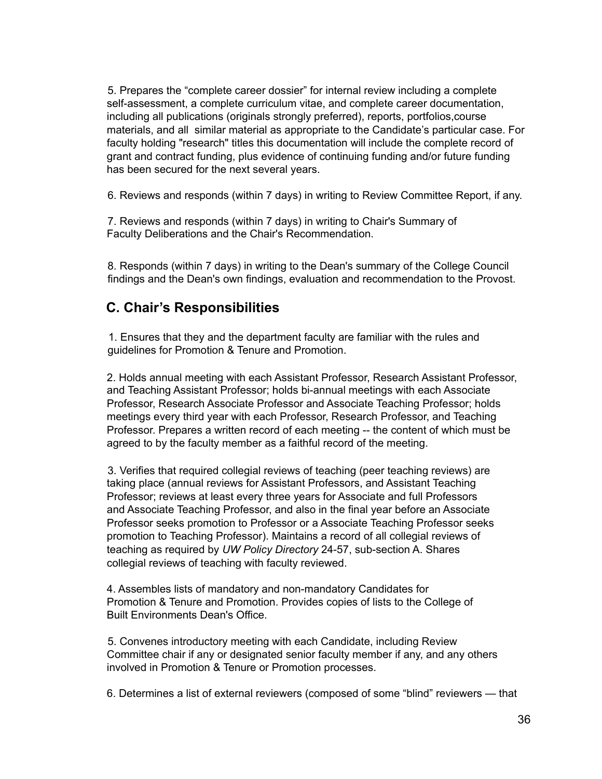5. Prepares the "complete career dossier" for internal review including a complete self-assessment, a complete curriculum vitae, and complete career documentation, including all publications (originals strongly preferred), reports, portfolios,course materials, and all similar material as appropriate to the Candidate's particular case. For faculty holding "research" titles this documentation will include the complete record of grant and contract funding, plus evidence of continuing funding and/or future funding has been secured for the next several years.

6. Reviews and responds (within 7 days) in writing to Review Committee Report, if any.

7. Reviews and responds (within 7 days) in writing to Chair's Summary of Faculty Deliberations and the Chair's Recommendation.

8. Responds (within 7 days) in writing to the Dean's summary of the College Council findings and the Dean's own findings, evaluation and recommendation to the Provost.

## <span id="page-35-0"></span>**C. Chair's Responsibilities**

1. Ensures that they and the department faculty are familiar with the rules and guidelines for Promotion & Tenure and Promotion.

2. Holds annual meeting with each Assistant Professor, Research Assistant Professor, and Teaching Assistant Professor; holds bi-annual meetings with each Associate Professor, Research Associate Professor and Associate Teaching Professor; holds meetings every third year with each Professor, Research Professor, and Teaching Professor. Prepares a written record of each meeting -- the content of which must be agreed to by the faculty member as a faithful record of the meeting.

3. Verifies that required collegial reviews of teaching (peer teaching reviews) are taking place (annual reviews for Assistant Professors, and Assistant Teaching Professor; reviews at least every three years for Associate and full Professors and Associate Teaching Professor, and also in the final year before an Associate Professor seeks promotion to Professor or a Associate Teaching Professor seeks promotion to Teaching Professor). Maintains a record of all collegial reviews of teaching as required by *UW Policy Directory* 24-57, sub-section A. Shares collegial reviews of teaching with faculty reviewed.

4. Assembles lists of mandatory and non-mandatory Candidates for Promotion & Tenure and Promotion. Provides copies of lists to the College of Built Environments Dean's Office.

5. Convenes introductory meeting with each Candidate, including Review Committee chair if any or designated senior faculty member if any, and any others involved in Promotion & Tenure or Promotion processes.

6. Determines a list of external reviewers (composed of some "blind" reviewers — that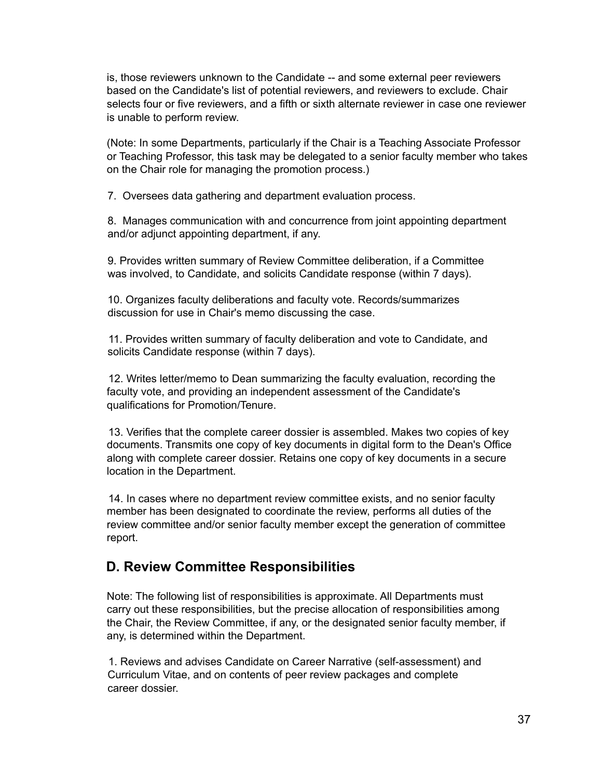is, those reviewers unknown to the Candidate -- and some external peer reviewers based on the Candidate's list of potential reviewers, and reviewers to exclude. Chair selects four or five reviewers, and a fifth or sixth alternate reviewer in case one reviewer is unable to perform review.

(Note: In some Departments, particularly if the Chair is a Teaching Associate Professor or Teaching Professor, this task may be delegated to a senior faculty member who takes on the Chair role for managing the promotion process.)

7. Oversees data gathering and department evaluation process.

8. Manages communication with and concurrence from joint appointing department and/or adjunct appointing department, if any.

9. Provides written summary of Review Committee deliberation, if a Committee was involved, to Candidate, and solicits Candidate response (within 7 days).

10. Organizes faculty deliberations and faculty vote. Records/summarizes discussion for use in Chair's memo discussing the case.

11. Provides written summary of faculty deliberation and vote to Candidate, and solicits Candidate response (within 7 days).

12. Writes letter/memo to Dean summarizing the faculty evaluation, recording the faculty vote, and providing an independent assessment of the Candidate's qualifications for Promotion/Tenure.

13. Verifies that the complete career dossier is assembled. Makes two copies of key documents. Transmits one copy of key documents in digital form to the Dean's Office along with complete career dossier. Retains one copy of key documents in a secure location in the Department.

14. In cases where no department review committee exists, and no senior faculty member has been designated to coordinate the review, performs all duties of the review committee and/or senior faculty member except the generation of committee report.

### <span id="page-36-0"></span>**D. Review Committee Responsibilities**

Note: The following list of responsibilities is approximate. All Departments must carry out these responsibilities, but the precise allocation of responsibilities among the Chair, the Review Committee, if any, or the designated senior faculty member, if any, is determined within the Department.

1. Reviews and advises Candidate on Career Narrative (self-assessment) and Curriculum Vitae, and on contents of peer review packages and complete career dossier.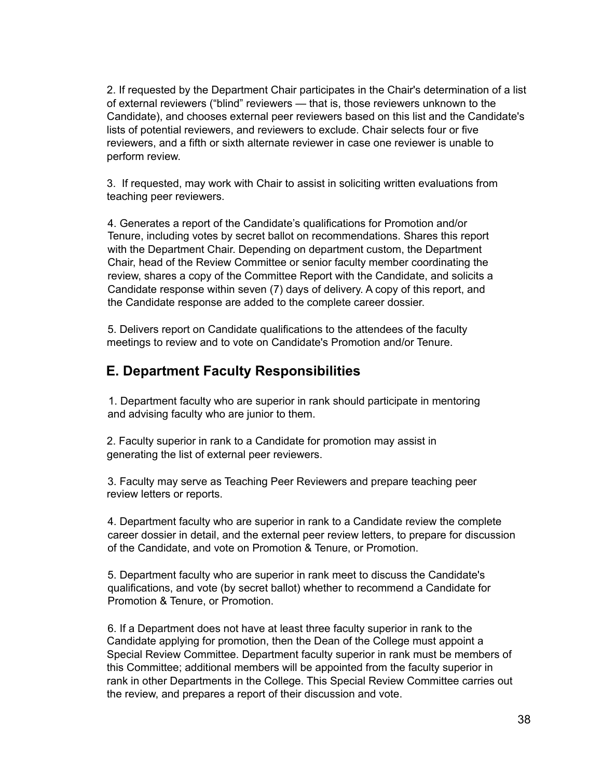2. If requested by the Department Chair participates in the Chair's determination of a list of external reviewers ("blind" reviewers — that is, those reviewers unknown to the Candidate), and chooses external peer reviewers based on this list and the Candidate's lists of potential reviewers, and reviewers to exclude. Chair selects four or five reviewers, and a fifth or sixth alternate reviewer in case one reviewer is unable to perform review.

3. If requested, may work with Chair to assist in soliciting written evaluations from teaching peer reviewers.

4. Generates a report of the Candidate's qualifications for Promotion and/or Tenure, including votes by secret ballot on recommendations. Shares this report with the Department Chair. Depending on department custom, the Department Chair, head of the Review Committee or senior faculty member coordinating the review, shares a copy of the Committee Report with the Candidate, and solicits a Candidate response within seven (7) days of delivery. A copy of this report, and the Candidate response are added to the complete career dossier.

5. Delivers report on Candidate qualifications to the attendees of the faculty meetings to review and to vote on Candidate's Promotion and/or Tenure.

## <span id="page-37-0"></span>**E. Department Faculty Responsibilities**

1. Department faculty who are superior in rank should participate in mentoring and advising faculty who are junior to them.

2. Faculty superior in rank to a Candidate for promotion may assist in generating the list of external peer reviewers.

3. Faculty may serve as Teaching Peer Reviewers and prepare teaching peer review letters or reports.

4. Department faculty who are superior in rank to a Candidate review the complete career dossier in detail, and the external peer review letters, to prepare for discussion of the Candidate, and vote on Promotion & Tenure, or Promotion.

5. Department faculty who are superior in rank meet to discuss the Candidate's qualifications, and vote (by secret ballot) whether to recommend a Candidate for Promotion & Tenure, or Promotion.

6. If a Department does not have at least three faculty superior in rank to the Candidate applying for promotion, then the Dean of the College must appoint a Special Review Committee. Department faculty superior in rank must be members of this Committee; additional members will be appointed from the faculty superior in rank in other Departments in the College. This Special Review Committee carries out the review, and prepares a report of their discussion and vote.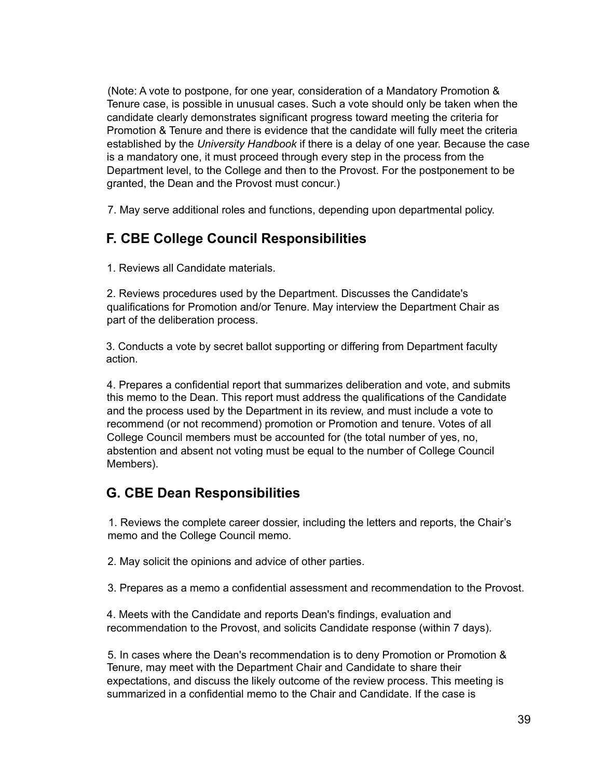(Note: A vote to postpone, for one year, consideration of a Mandatory Promotion & Tenure case, is possible in unusual cases. Such a vote should only be taken when the candidate clearly demonstrates significant progress toward meeting the criteria for Promotion & Tenure and there is evidence that the candidate will fully meet the criteria established by the *University Handbook* if there is a delay of one year. Because the case is a mandatory one, it must proceed through every step in the process from the Department level, to the College and then to the Provost. For the postponement to be granted, the Dean and the Provost must concur.)

<span id="page-38-0"></span>7. May serve additional roles and functions, depending upon departmental policy.

## **F. CBE College Council Responsibilities**

1. Reviews all Candidate materials.

2. Reviews procedures used by the Department. Discusses the Candidate's qualifications for Promotion and/or Tenure. May interview the Department Chair as part of the deliberation process.

3. Conducts a vote by secret ballot supporting or differing from Department faculty action.

4. Prepares a confidential report that summarizes deliberation and vote, and submits this memo to the Dean. This report must address the qualifications of the Candidate and the process used by the Department in its review, and must include a vote to recommend (or not recommend) promotion or Promotion and tenure. Votes of all College Council members must be accounted for (the total number of yes, no, abstention and absent not voting must be equal to the number of College Council Members).

## <span id="page-38-1"></span>**G. CBE Dean Responsibilities**

1. Reviews the complete career dossier, including the letters and reports, the Chair's memo and the College Council memo.

2. May solicit the opinions and advice of other parties.

3. Prepares as a memo a confidential assessment and recommendation to the Provost.

4. Meets with the Candidate and reports Dean's findings, evaluation and recommendation to the Provost, and solicits Candidate response (within 7 days).

5. In cases where the Dean's recommendation is to deny Promotion or Promotion & Tenure, may meet with the Department Chair and Candidate to share their expectations, and discuss the likely outcome of the review process. This meeting is summarized in a confidential memo to the Chair and Candidate. If the case is